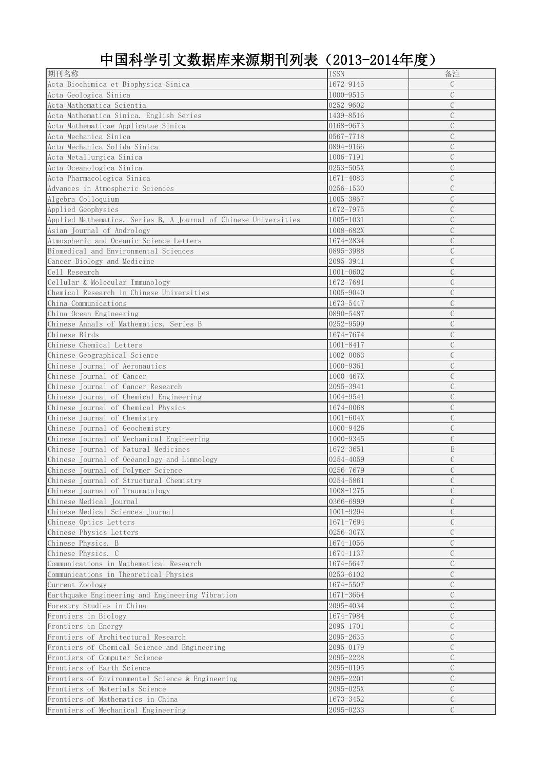中国科学引文数据库来源期刊列表(2013-2014年度)

| 期刊名称                                                             | <b>ISSN</b>   | 备注             |
|------------------------------------------------------------------|---------------|----------------|
| Acta Biochimica et Biophysica Sinica                             | 1672-9145     | $\mathcal{C}$  |
| Acta Geologica Sinica                                            | 1000-9515     | $\mathcal{C}$  |
| Acta Mathematica Scientia                                        | 0252-9602     | $\overline{C}$ |
| Acta Mathematica Sinica. English Series                          | 1439-8516     | $\overline{C}$ |
| Acta Mathematicae Applicatae Sinica                              | 0168-9673     | $\overline{C}$ |
| Acta Mechanica Sinica                                            | 0567-7718     | $\mathcal{C}$  |
| Acta Mechanica Solida Sinica                                     | 0894-9166     | $\mathcal{C}$  |
| Acta Metallurgica Sinica                                         | 1006-7191     | $\mathcal{C}$  |
| Acta Oceanologica Sinica                                         | $0253 - 505X$ | $\mathcal{C}$  |
| Acta Pharmacologica Sinica                                       | 1671-4083     | $\mathcal{C}$  |
| Advances in Atmospheric Sciences                                 | $0256 - 1530$ | $\overline{C}$ |
| Algebra Colloquium                                               | 1005-3867     | $\mathcal{C}$  |
| Applied Geophysics                                               | 1672-7975     | $\mathcal{C}$  |
| Applied Mathematics. Series B, A Journal of Chinese Universities | $1005 - 1031$ | $\mathcal{C}$  |
| Asian Journal of Andrology                                       | 1008-682X     | $\mathcal{C}$  |
| Atmospheric and Oceanic Science Letters                          | 1674-2834     | $\mathcal{C}$  |
| Biomedical and Environmental Sciences                            | 0895-3988     | $\overline{C}$ |
| Cancer Biology and Medicine                                      | 2095-3941     | $\mathcal{C}$  |
| Cell Research                                                    | $1001 - 0602$ | $\mathcal{C}$  |
| Cellular & Molecular Immunology                                  | 1672-7681     | $\overline{C}$ |
|                                                                  |               | $\mathcal{C}$  |
| Chemical Research in Chinese Universities                        | 1005-9040     |                |
| China Communications                                             | 1673-5447     | $\mathcal{C}$  |
| China Ocean Engineering                                          | 0890-5487     | $\mathcal{C}$  |
| Chinese Annals of Mathematics. Series B                          | 0252-9599     | C              |
| Chinese Birds                                                    | 1674-7674     | $\mathcal{C}$  |
| Chinese Chemical Letters                                         | $1001 - 8417$ | $\mathcal{C}$  |
| Chinese Geographical Science                                     | 1002-0063     | $\mathcal{C}$  |
| Chinese Journal of Aeronautics                                   | 1000-9361     | $\mathcal{C}$  |
| Chinese Journal of Cancer                                        | 1000-467X     | $\mathcal{C}$  |
| Chinese Journal of Cancer Research                               | 2095-3941     | $\mathcal{C}$  |
| Chinese Journal of Chemical Engineering                          | 1004-9541     | $\mathcal{C}$  |
| Chinese Journal of Chemical Physics                              | 1674-0068     | $\mathcal{C}$  |
| Chinese Journal of Chemistry                                     | $1001 - 604X$ | $\mathcal{C}$  |
| Chinese Journal of Geochemistry                                  | 1000-9426     | $\mathcal{C}$  |
| Chinese Journal of Mechanical Engineering                        | 1000-9345     | $\mathcal{C}$  |
| Chinese Journal of Natural Medicines                             | 1672-3651     | $\mathbf E$    |
| Chinese Journal of Oceanology and Limnology                      | 0254-4059     | $\mathcal{C}$  |
| Chinese Journal of Polymer Science                               | 0256-7679     | $\mathcal{C}$  |
| Chinese Journal of Structural Chemistry                          | 0254-5861     | $\mathcal{C}$  |
| Chinese Journal of Traumatology                                  | 1008-1275     | $\mathcal{C}$  |
| Chinese Medical Journal                                          | 0366-6999     | $\mathcal{C}$  |
| Chinese Medical Sciences Journal                                 | 1001-9294     | $\mathcal{C}$  |
| Chinese Optics Letters                                           | 1671-7694     | $\mathcal{C}$  |
| Chinese Physics Letters                                          | 0256-307X     | $\mathcal{C}$  |
| Chinese Physics. B                                               | $1674 - 1056$ | $\mathcal{C}$  |
| Chinese Physics. C                                               | 1674-1137     | $\overline{C}$ |
| Communications in Mathematical Research                          | 1674-5647     | $\overline{C}$ |
| Communications in Theoretical Physics                            | 0253-6102     | $\mathcal{C}$  |
| Current Zoology                                                  | 1674-5507     | $\mathcal{C}$  |
| Earthquake Engineering and Engineering Vibration                 | 1671-3664     | $\mathcal{C}$  |
| Forestry Studies in China                                        | 2095-4034     | $\mathcal{C}$  |
| Frontiers in Biology                                             | 1674-7984     | $\mathcal{C}$  |
| Frontiers in Energy                                              | 2095-1701     | $\mathcal{C}$  |
| Frontiers of Architectural Research                              | 2095-2635     | $\mathcal{C}$  |
|                                                                  |               |                |
| Frontiers of Chemical Science and Engineering                    | 2095-0179     | $\mathcal{C}$  |
| Frontiers of Computer Science                                    | 2095-2228     | $\mathcal{C}$  |
| Frontiers of Earth Science                                       | 2095-0195     | $\mathcal{C}$  |
| Frontiers of Environmental Science & Engineering                 | 2095-2201     | $\mathcal{C}$  |
| Frontiers of Materials Science                                   | 2095-025X     | $\overline{C}$ |
| Frontiers of Mathematics in China                                | 1673-3452     | $\mathcal{C}$  |
| Frontiers of Mechanical Engineering                              | 2095-0233     | $\mathcal{C}$  |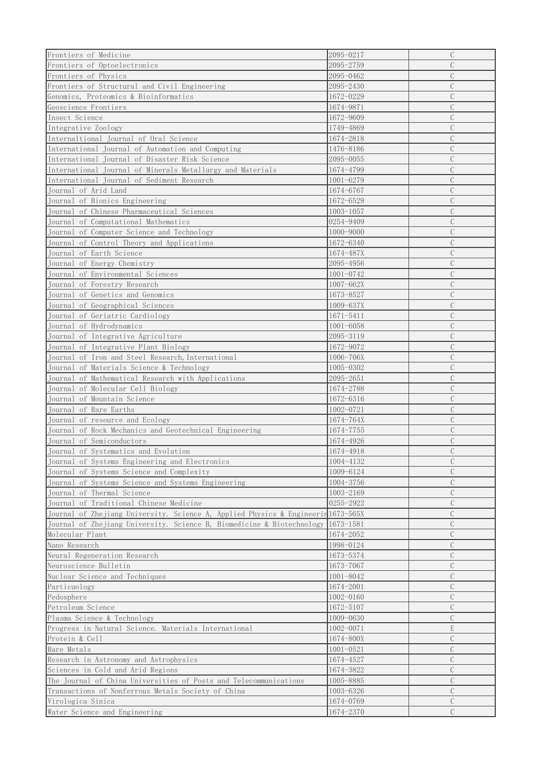| Frontiers of Medicine                                                             | 2095-0217     | $\mathcal{C}$  |
|-----------------------------------------------------------------------------------|---------------|----------------|
| Frontiers of Optoelectronics                                                      | 2095-2759     | $\overline{C}$ |
|                                                                                   |               | $\overline{C}$ |
| Frontiers of Physics                                                              | 2095-0462     |                |
| Frontiers of Structural and Civil Engineering                                     | 2095-2430     | $\overline{C}$ |
| Genomics, Proteomics & Bioinformatics                                             | 1672-0229     | $\mathcal{C}$  |
| Geoscience Frontiers                                                              | 1674-9871     | $\mathcal{C}$  |
| Insect Science                                                                    | 1672-9609     | $\mathcal{C}$  |
| Integrative Zoology                                                               | 1749-4869     | $\mathcal{C}$  |
| Internaltional Journal of Oral Science                                            | 1674-2818     | $\mathcal{C}$  |
| International Journal of Automation and Computing                                 | 1476-8186     | $\mathcal{C}$  |
| International Journal of Disaster Risk Science                                    | 2095-0055     | $\mathcal{C}$  |
| International Journal of Minerals Metallurgy and Materials                        | 1674-4799     | $\mathcal{C}$  |
| International Journal of Sediment Research                                        | $1001 - 6279$ | $\mathcal{C}$  |
| Journal of Arid Land                                                              | 1674-6767     | $\mathcal{C}$  |
| Journal of Bionics Engineering                                                    | 1672-6529     | $\mathcal{C}$  |
| Journal of Chinese Pharmaceutical Sciences                                        | $1003 - 1057$ | $\mathcal{C}$  |
| Journal of Computational Mathematics                                              | 0254-9409     | $\mathcal{C}$  |
| Journal of Computer Science and Technology                                        | 1000-9000     | $\mathcal{C}$  |
|                                                                                   | 1672-6340     | $\mathcal{C}$  |
| Journal of Control Theory and Applications                                        |               | $\mathcal{C}$  |
| Journal of Earth Science                                                          | 1674-487X     |                |
| Journal of Energy Chemistry                                                       | 2095-4956     | $\mathcal{C}$  |
| Journal of Environmental Sciences                                                 | $1001 - 0742$ | $\mathcal{C}$  |
| Journal of Forestry Research                                                      | 1007-662X     | $\overline{C}$ |
| Journal of Genetics and Genomics                                                  | 1673-8527     | $\mathcal{C}$  |
| Journal of Geographical Sciences                                                  | 1009-637X     | $\mathcal{C}$  |
| Journal of Geriatric Cardiology                                                   | $1671 - 5411$ | $\mathcal{C}$  |
| Journal of Hydrodynamics                                                          | $1001 - 6058$ | $\mathcal{C}$  |
| Journal of Integrative Agriculture                                                | 2095-3119     | $\mathcal{C}$  |
| Journal of Integrative Plant Biology                                              | 1672-9072     | $\mathcal{C}$  |
| Journal of Iron and Steel Research, International                                 | 1006-706X     | $\mathcal{C}$  |
| Journal of Materials Science & Technology                                         | 1005-0302     | $\mathcal{C}$  |
| Journal of Mathematical Research with Applications                                | $2095 - 2651$ | $\mathcal{C}$  |
| Journal of Molecular Cell Biology                                                 | 1674-2788     | $\mathcal{C}$  |
| Journal of Mountain Science                                                       | 1672-6316     | $\mathcal{C}$  |
| Journal of Rare Earths                                                            | 1002-0721     | $\mathcal{C}$  |
| Journal of resource and Ecology                                                   | 1674-764X     | $\mathcal{C}$  |
| Journal of Rock Mechanics and Geotechnical Engineering                            | 1674-7755     | $\mathcal{C}$  |
| Journal of Semiconductors                                                         | 1674-4926     | $\mathcal{C}$  |
| Journal of Systematics and Evolution                                              | 1674-4918     | $\mathcal{C}$  |
| Journal of Systems Engineering and Electronics                                    | 1004-4132     | $\mathcal{C}$  |
| Journal of Systems Science and Complexity                                         | 1009-6124     | $\mathcal{C}$  |
|                                                                                   | 1004-3756     | $\mathcal{C}$  |
| Journal of Systems Science and Systems Engineering                                |               | $\mathcal{C}$  |
| Journal of Thermal Science                                                        | 1003-2169     |                |
| Journal of Traditional Chinese Medicine                                           | 0255-2922     | $\mathcal{C}$  |
| Journal of Zhejiang University. Science A, Applied Physics & Engineerin 1673-565X |               | $\mathcal{C}$  |
| Journal of Zhejiang University. Science B, Biomedicine & Biotechnology 1673-1581  |               | $\mathcal{C}$  |
| Molecular Plant                                                                   | 1674-2052     | $\mathcal{C}$  |
| Nano Research                                                                     | 1998-0124     | $\mathcal{C}$  |
| Neural Regeneration Research                                                      | 1673-5374     | $\mathcal{C}$  |
| Neuroscience Bulletin                                                             | 1673-7067     | $\overline{C}$ |
| Nuclear Science and Techniques                                                    | 1001-8042     | $\mathcal{C}$  |
| Particuology                                                                      | 1674-2001     | $\mathcal{C}$  |
| Pedosphere                                                                        | 1002-0160     | $\mathcal{C}$  |
| Petroleum Science                                                                 | 1672-5107     | $\mathcal{C}$  |
| Plasma Science & Technology                                                       | 1009-0630     | $\mathcal{C}$  |
| Progress in Natural Science. Materials International                              | 1002-0071     | $\mathbf E$    |
| Protein & Cell                                                                    | 1674-800X     | $\mathcal{C}$  |
| Rare Metals                                                                       | $1001 - 0521$ | $\mathcal{C}$  |
| Research in Astronomy and Astrophysics                                            | 1674-4527     | $\mathcal{C}$  |
| Sciences in Cold and Arid Regions                                                 | 1674-3822     | $\mathcal{C}$  |
| The Journal of China Universities of Posts and Telecommunications                 | 1005-8885     | $\mathcal{C}$  |
| Transactions of Nonferrous Metals Society of China                                | 1003-6326     | $\mathcal{C}$  |
| Virologica Sinica                                                                 | 1674-0769     | $\mathcal{C}$  |
| Water Science and Engineering                                                     | 1674-2370     | $\mathcal{C}$  |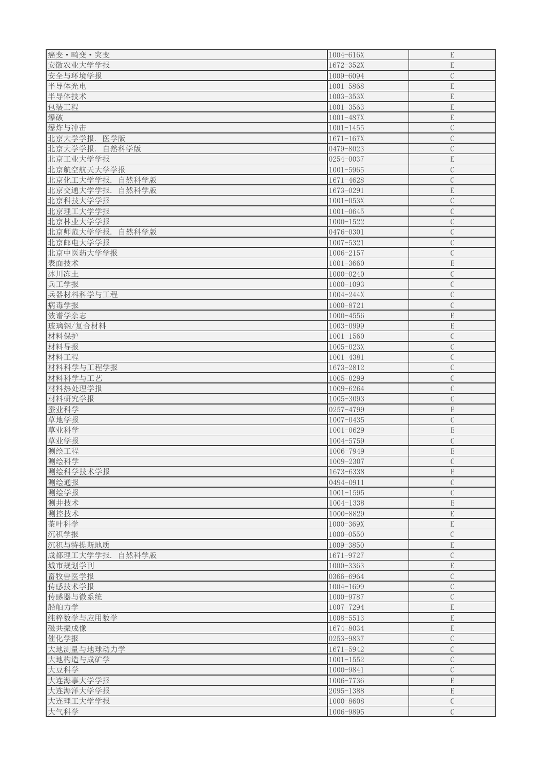| 癌变·畸变·突变           | 1004-616X              | $\mathbf E$                    |
|--------------------|------------------------|--------------------------------|
|                    |                        |                                |
| 安徽农业大学学报           | 1672-352X              | $\mathbf E$                    |
| 安全与环境学报            | 1009-6094              | $\mathbf C$                    |
| 半导体光电              | 1001-5868              | $\mathbf E$                    |
| 半导体技术              | $1003 - 353X$          | $\mathbf E$                    |
| 包装工程               | $1001 - 3563$          | ${\bf E}$                      |
| 爆破                 | $1001 - 487X$          | $\mathbf E$                    |
| 爆炸与冲击              | $1001 - 1455$          | $\mathcal{C}$                  |
|                    |                        |                                |
| 北京大学学报.<br>医学版     | $1671 - 167X$          | $\mathcal{C}$                  |
| 北京大学学报.<br>自然科学版   | 0479-8023              | $\mathcal{C}$                  |
| 北京工业大学学报           | 0254-0037              | $\mathbf E$                    |
| 北京航空航天大学学报         | $1001 - 5965$          | $\mathcal{C}$                  |
| 北京化工大学学报.<br>自然科学版 | 1671-4628              | $\mathcal{C}$                  |
| 北京交通大学学报.<br>自然科学版 | 1673-0291              | $\mathbf E$                    |
| 北京科技大学学报           | $1001 - 053X$          | $\mathcal{C}$                  |
|                    |                        |                                |
| 北京理工大学学报           | $1001 - 0645$          | $\mathcal{C}$                  |
| 北京林业大学学报           | $1000 - 1522$          | $\mathcal{C}$                  |
| 北京师范大学学报.<br>自然科学版 | 0476-0301              | $\mathcal{C}$                  |
| 北京邮电大学学报           | 1007-5321              | $\mathcal{C}$                  |
| 北京中医药大学学报          | 1006-2157              | $\mathcal{C}$                  |
| 表面技术               | $1001 - 3660$          | $\mathbf E$                    |
| 冰川冻土               | 1000-0240              | $\mathcal{C}$                  |
| 兵工学报               | $1000 - 1093$          | $\mathcal{C}$                  |
|                    |                        | $\mathcal{C}$                  |
| 兵器材料科学与工程          | 1004-244X              |                                |
| 病毒学报               | 1000-8721              | $\mathcal{C}$                  |
| 波谱学杂志              | $1000 - 4556$          | $\mathbf E$                    |
| 玻璃钢/复合材料           | 1003-0999              | $\mathbf E$                    |
| 材料保护               | $1001 - 1560$          | $\mathcal{C}$                  |
| 材料导报               | $1005 - 023X$          | $\mathbf C$                    |
| 材料工程               | 1001-4381              | $\mathcal{C}$                  |
|                    |                        | $\mathbf C$                    |
| 材料科学与工程学报          | 1673-2812              |                                |
|                    |                        |                                |
| 材料科学与工艺            | 1005-0299              | $\mathcal{C}$                  |
| 材料热处理学报            | 1009-6264              | $\mathcal{C}$                  |
| 材料研究学报             | 1005-3093              | $\mathcal{C}$                  |
| 蚕业科学               | 0257-4799              | $\mathbf E$                    |
| 草地学报               | $1007 - 0435$          | $\mathcal{C}$                  |
|                    |                        |                                |
| 草业科学               | $1001 - 0629$          | ${\bf E}$                      |
| 草业学报               | 1004-5759              | $\mathcal{C}$                  |
| 测绘工程               | 1006-7949              | $\mathbf E$                    |
| 测绘科学               | 1009-2307              | $\mathcal{C}$                  |
| 测绘科学技术学报           | 1673-6338              | $\mathbf E$                    |
| 测绘通报               | 0494-0911              | $\mathcal{C}$                  |
| 测绘学报               | $1001 - 1595$          | $\mathcal{C}$                  |
| 测井技术               | 1004-1338              | $\mathbf E$                    |
|                    | 1000-8829              | ${\bf E}$                      |
| 测控技术               |                        |                                |
| 茶叶科学               | 1000-369X              | $\mathbf E$                    |
| 沉积学报               | $1000 - 0550$          | $\mathcal{C}$                  |
| 沉积与特提斯地质           | 1009-3850              | $\mathbf E$                    |
| 成都理工大学学报. 自然科学版    | 1671-9727              | $\mathcal{C}$                  |
| 城市规划学刊             | 1000-3363              | ${\bf E}$                      |
| 畜牧兽医学报             | 0366-6964              | $\mathcal{C}$                  |
| 传感技术学报             | 1004-1699              | $\mathcal{C}$                  |
| 传感器与微系统            | 1000-9787              | $\mathcal{C}$                  |
|                    |                        |                                |
| 船舶力学               | 1007-7294              | $\mathbf E$                    |
| 纯粹数学与应用数学          | 1008-5513              | $\mathbf E$                    |
| 磁共振成像              | 1674-8034              | $\mathbf E$                    |
| 催化学报               | 0253-9837              | $\mathcal{C}$                  |
| 大地测量与地球动力学         | 1671-5942              | $\mathcal{C}$                  |
| 大地构造与成矿学           | $1001 - 1552$          | $\mathcal{C}$                  |
| 大豆科学               | 1000-9841              | $\mathcal{C}$                  |
|                    | 1006-7736              | $\mathbf E$                    |
| 大连海事大学学报           |                        |                                |
| 大连海洋大学学报           | 2095-1388              | $\mathbf E$                    |
| 大连理工大学学报<br>大气科学   | 1000-8608<br>1006-9895 | $\mathcal{C}$<br>$\mathcal{C}$ |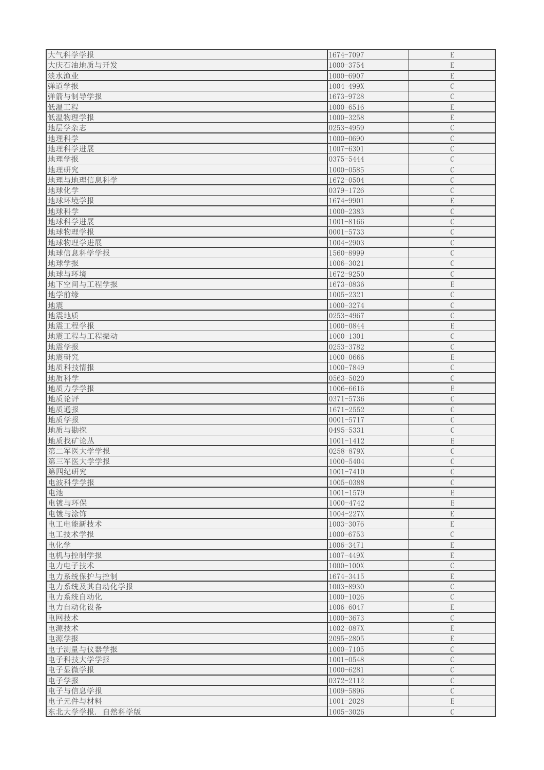| 大气科学学报        | 1674-7097       | ${\bf E}$     |
|---------------|-----------------|---------------|
| 大庆石油地质与开发     | 1000-3754       | ${\bf E}$     |
| 淡水渔业          | 1000-6907       | $\mathbf E$   |
| 弹道学报          | 1004-499X       | $\mathcal{C}$ |
| 弹箭与制导学报       | 1673-9728       | $\mathbf C$   |
| 低温工程          | 1000-6516       | ${\bf E}$     |
| 低温物理学报        | 1000-3258       | $\mathbf E$   |
| 地层学杂志         | $ 0253 - 4959 $ | $\mathcal{C}$ |
| 地理科学          | 1000-0690       | $\mathcal{C}$ |
| 地理科学进展        | 1007-6301       | $\mathcal{C}$ |
| 地理学报          | 0375-5444       | $\mathcal{C}$ |
| 地理研究          | 1000-0585       | $\mathcal{C}$ |
| 地理与地理信息科学     | 1672-0504       | $\mathbf C$   |
| 地球化学          | 0379-1726       | $\mathcal{C}$ |
| 地球环境学报        | 1674-9901       | ${\bf E}$     |
| 地球科学          | $1000 - 2383$   | $\mathcal{C}$ |
| 地球科学进展        | 1001-8166       | $\mathcal{C}$ |
| 地球物理学报        | $ 0001 - 5733 $ | $\mathcal{C}$ |
| 地球物理学进展       | 1004-2903       | $\mathcal{C}$ |
| 地球信息科学学报      | 1560-8999       | $\mathcal{C}$ |
| 地球学报          | 1006-3021       | $\mathcal{C}$ |
| 地球与环境         | 1672-9250       | $\mathcal{C}$ |
| 地下空间与工程学报     | 1673-0836       | $\mathbf E$   |
| 地学前缘          | 1005-2321       | $\mathcal{C}$ |
| 地震            | 1000-3274       | $\mathcal{C}$ |
| 地震地质          | 0253-4967       | $\mathcal{C}$ |
| 地震工程学报        | 1000-0844       | $\mathbf E$   |
| 地震工程与工程振动     | $1000 - 1301$   | $\mathcal{C}$ |
| 地震学报          | 0253-3782       | $\mathcal{C}$ |
| 地震研究          | 1000-0666       | $\mathbf E$   |
| 地质科技情报        | 1000-7849       | $\mathcal{C}$ |
| 地质科学          | 0563-5020       | $\mathcal{C}$ |
| 地质力学学报        | 1006-6616       | ${\bf E}$     |
| 地质论评          | $0371 - 5736$   | $\mathcal{C}$ |
| 地质通报          | $1671 - 2552$   | $\mathcal{C}$ |
| 地质学报          | $0001 - 5717$   | $\mathcal{C}$ |
| 地质与勘探         | 0495-5331       | $\mathcal{C}$ |
| 地质找矿论丛        | $1001 - 1412$   | $\mathbf E$   |
| 第二军医大学学报      | 0258-879X       | $\mathcal{C}$ |
| 第三军医大学学报      | 1000-5404       | $\mathcal{C}$ |
| 第四纪研究         | $1001 - 7410$   | $\mathcal{C}$ |
| 电波科学学报        | 1005-0388       | $\mathcal{C}$ |
| 电池            | $1001 - 1579$   | $\mathbf E$   |
| 电镀与环保         | 1000-4742       | $\mathbf E$   |
| 电镀与涂饰         | 1004-227X       | $\mathbf E$   |
| 电工电能新技术       | 1003-3076       | $\mathbf E$   |
| 电工技术学报        | 1000-6753       | $\mathcal{C}$ |
| 电化学           | 1006-3471       | $\mathbf E$   |
| 电机与控制学报       | 1007-449X       | $\mathbf E$   |
| 电力电子技术        | $1000 - 100X$   | $\mathcal{C}$ |
| 电力系统保护与控制     | 1674-3415       | ${\bf E}$     |
| 电力系统及其自动化学报   | 1003-8930       | $\mathcal{C}$ |
| 电力系统自动化       | $1000 - 1026$   | $\mathcal{C}$ |
| 电力自动化设备       | 1006-6047       | ${\bf E}$     |
| 电网技术          | $1000 - 3673$   | $\mathbf C$   |
| 电源技术          | 1002-087X       | $\mathbf E$   |
| 电源学报          | 2095-2805       | $\mathbf E$   |
| 电子测量与仪器学报     | $1000 - 7105$   | $\mathcal{C}$ |
| 电子科技大学学报      | $1001 - 0548$   | $\mathcal{C}$ |
| 电子显微学报        | 1000-6281       | $\mathcal{C}$ |
| 电子学报          | $ 0372 - 2112 $ | $\mathcal{C}$ |
| 电子与信息学报       | 1009-5896       | $\mathcal{C}$ |
| 电子元件与材料       | $1001 - 2028$   | $\mathbf E$   |
| 东北大学学报. 自然科学版 | 1005-3026       | $\mathcal{C}$ |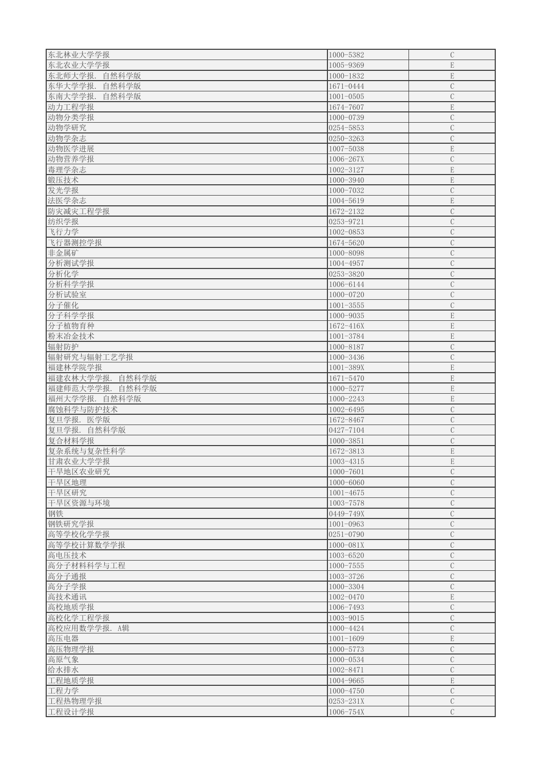| 东北林业大学学报           | 1000-5382       | $\mathcal{C}$ |
|--------------------|-----------------|---------------|
| 东北农业大学学报           | 1005-9369       | $\mathbf E$   |
| 东北师大学报.<br>自然科学版   | $1000 - 1832$   | $\mathbf E$   |
| 东华大学学报.<br>自然科学版   | 1671-0444       | $\mathcal{C}$ |
| 东南大学学报.<br>自然科学版   | $1001 - 0505$   | $\mathcal{C}$ |
| 动力工程学报             | 1674-7607       | $\mathbf E$   |
| 动物分类学报             | 1000-0739       | $\mathcal{C}$ |
| 动物学研究              | 0254-5853       | $\mathcal{C}$ |
|                    |                 |               |
| 动物学杂志              | $ 0250 - 3263 $ | $\mathcal{C}$ |
| 动物医学进展             | 1007-5038       | $\mathbf E$   |
| 动物营养学报             | 1006-267X       | $\mathcal{C}$ |
| 毒理学杂志              | 1002-3127       | $\mathbf E$   |
| 锻压技术               | 1000-3940       | $\mathbf E$   |
| 发光学报               | 1000-7032       | $\mathcal{C}$ |
| 法医学杂志              | 1004-5619       | $\mathbf E$   |
| 防灾减灾工程学报           | 1672-2132       | $\mathcal{C}$ |
| 纺织学报               | 0253-9721       | $\mathcal{C}$ |
| 飞行力学               | $1002 - 0853$   | $\mathcal{C}$ |
| 飞行器测控学报            | 1674-5620       | $\mathcal{C}$ |
| 非金属矿               | 1000-8098       | $\mathcal{C}$ |
| 分析测试学报             | 1004-4957       | $\mathcal{C}$ |
| 分析化学               | 0253-3820       | $\mathcal{C}$ |
| 分析科学学报             | 1006-6144       | $\mathcal{C}$ |
| 分析试验室              | 1000-0720       | $\mathcal{C}$ |
| 分子催化               | $1001 - 3555$   | $\mathcal{C}$ |
| 分子科学学报             | $1000 - 9035$   | $\mathbf E$   |
| 分子植物育种             | 1672-416X       | $\mathbf E$   |
| 粉末冶金技术             | 1001-3784       | $\mathbf E$   |
| 辐射防护               | 1000-8187       | $\mathbf C$   |
| 辐射研究与辐射工艺学报        | $1000 - 3436$   | $\mathcal{C}$ |
| 福建林学院学报            | $1001 - 389X$   | $\mathbf E$   |
| 福建农林大学学报.<br>自然科学版 | 1671-5470       | $\mathbf E$   |
| 福建师范大学学报. 自然科学版    | 1000-5277       | $\mathbf E$   |
| 福州大学学报. 自然科学版      | $1000 - 2243$   | $\mathbf E$   |
| 腐蚀科学与防护技术          | 1002-6495       | $\mathcal{C}$ |
| 复旦学报. 医学版          | 1672-8467       | $\mathbf C$   |
|                    |                 | $\mathcal{C}$ |
| 复旦学报. 自然科学版        | 0427-7104       |               |
| 复合材料学报             | $1000 - 3851$   | $\mathcal{C}$ |
| 复杂系统与复杂性科学         | 1672-3813       | $\mathbf E$   |
| 甘肃农业大学学报           | 1003-4315       | $\mathbf E$   |
| 干旱地区农业研究           | 1000-7601       | $\mathcal{C}$ |
| 干旱区地理              | 1000-6060       | $\mathcal{C}$ |
| 干旱区研究              | $1001 - 4675$   | $\mathcal{C}$ |
| 干旱区资源与环境           | 1003-7578       | $\mathcal{C}$ |
| 钢铁                 | 0449-749X       | $\mathcal{C}$ |
| 钢铁研究学报             | $1001 - 0963$   | $\mathbf C$   |
| 高等学校化学学报           | $0251 - 0790$   | $\mathcal{C}$ |
| 高等学校计算数学学报         | 1000-081X       | $\mathcal{C}$ |
| 高电压技术              | 1003-6520       | $\mathcal{C}$ |
| 高分子材料科学与工程         | $1000 - 7555$   | $\mathcal{C}$ |
| 高分子通报              | 1003-3726       | $\mathcal{C}$ |
| 高分子学报              | 1000-3304       | $\mathcal{C}$ |
| 高技术通讯              | 1002-0470       | $\mathbf E$   |
| 高校地质学报             | 1006-7493       | $\mathcal{C}$ |
| 高校化学工程学报           | 1003-9015       | $\mathcal{C}$ |
| 高校应用数学学报. A辑       | 1000-4424       | $\mathcal{C}$ |
| 高压电器               | $1001 - 1609$   | $\mathbf E$   |
| 高压物理学报             | 1000-5773       | $\mathcal{C}$ |
| 高原气象               | 1000-0534       | $\mathcal C$  |
| 给水排水               | 1002-8471       | $\mathcal{C}$ |
| 工程地质学报             | 1004-9665       | $\mathbf E$   |
| 工程力学               | $1000 - 4750$   | $\mathcal{C}$ |
| 工程热物理学报            | $0253 - 231X$   | $\mathcal{C}$ |
| 工程设计学报             | 1006-754X       | $\mathcal{C}$ |
|                    |                 |               |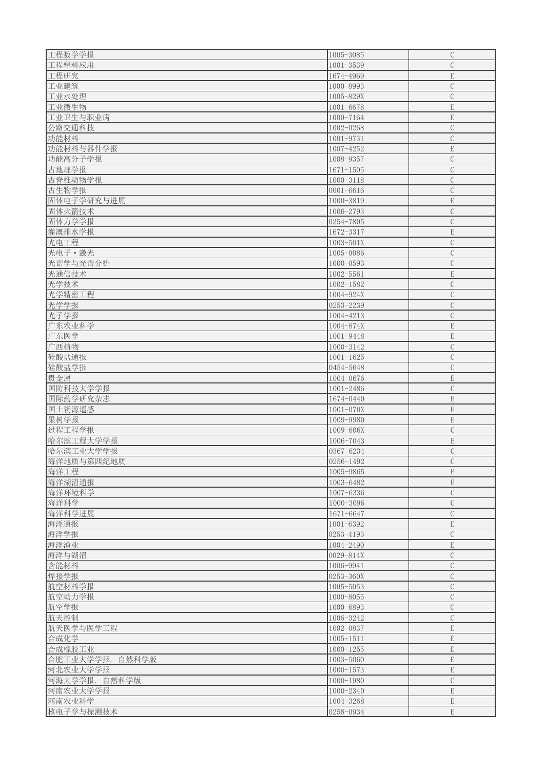| 工程数学学报             | 1005-3085     | $\mathcal{C}$ |
|--------------------|---------------|---------------|
| 工程塑料应用             | $1001 - 3539$ | $\mathcal C$  |
| 工程研究               | 1674-4969     | $\mathbf E$   |
| 工业建筑               | 1000-8993     | $\mathcal{C}$ |
| 工业水处理              | 1005-829X     | $\mathcal{C}$ |
| 工业微生物              | $1001 - 6678$ | $\mathbf E$   |
| 工业卫生与职业病           | 1000-7164     | $\mathbf E$   |
| 公路交通科技             | 1002-0268     | $\mathcal{C}$ |
|                    |               |               |
| 功能材料               | 1001-9731     | $\mathcal{C}$ |
| 功能材料与器件学报          | 1007-4252     | $\mathbf E$   |
| 功能高分子学报            | 1008-9357     | $\mathcal{C}$ |
| 古地理学报              | $1671 - 1505$ | $\mathbf C$   |
| 古脊椎动物学报            | 1000-3118     | $\mathcal{C}$ |
| 古生物学报              | $0001 - 6616$ | $\mathcal{C}$ |
| 固体电子学研究与进展         | 1000-3819     | $\mathbf E$   |
| 固体火箭技术             | 1006-2793     | $\mathcal{C}$ |
| 固体力学学报             | 0254-7805     | $\mathbf C$   |
| 灌溉排水学报             | 1672-3317     | $\mathbf E$   |
| 光电工程               | $1003 - 501X$ | $\mathbf C$   |
| 光电子 • 激光           | 1005-0086     | $\mathcal{C}$ |
| 光谱学与光谱分析           | 1000-0593     | $\mathbf C$   |
| 光通信技术              | $1002 - 5561$ | $\mathbf E$   |
| 光学技术               | $1002 - 1582$ | $\mathcal{C}$ |
| 光学精密工程             | 1004-924X     | $\mathcal{C}$ |
| 光学学报               | 0253-2239     | $\mathcal{C}$ |
| 光子学报               | 1004-4213     | $\mathcal{C}$ |
| 广东农业科学             | 1004-874X     | $\mathbf E$   |
| 广东医学               | 1001-9448     | ${\bf E}$     |
| 广西植物               | 1000-3142     | $\mathcal{C}$ |
| 硅酸盐通报              | $1001 - 1625$ | $\mathbf C$   |
| 硅酸盐学报              | 0454-5648     | $\mathcal{C}$ |
| 贵金属                | 1004-0676     | $\mathbf E$   |
| 国防科技大学学报           | $1001 - 2486$ | $\mathcal{C}$ |
|                    |               | $\mathbf E$   |
| 国际药学研究杂志           | 1674-0440     | $\mathbf E$   |
| 国土资源遥感             | $1001 - 070X$ |               |
| 果树学报               | 1009-9980     | $\mathbf E$   |
| 过程工程学报             | 1009-606X     | $\mathcal{C}$ |
| 哈尔滨工程大学学报          | 1006-7043     | $\mathbf E$   |
| 哈尔滨工业大学学报          | 0367-6234     | $\mathcal{C}$ |
| 海洋地质与第四纪地质         | 0256-1492     | $\mathcal{C}$ |
| 海洋工程               | 1005-9865     | $\mathbf E$   |
| 海洋湖沼通报             | 1003-6482     | $\mathbf E$   |
| 海洋环境科学             | 1007-6336     | $\mathcal{C}$ |
| 海洋科学               | $1000 - 3096$ | $\mathcal{C}$ |
| 海洋科学进展             | 1671-6647     | $\mathbf C$   |
| 海洋通报               | 1001-6392     | $\mathbf E$   |
| 海洋学报               | 0253-4193     | $\mathcal{C}$ |
| 海洋渔业               | 1004-2490     | $\mathbf E$   |
| 海洋与湖沼              | 0029-814X     | $\mathcal{C}$ |
| 含能材料               | 1006-9941     | $\mathcal{C}$ |
| 焊接学报               | 0253-360X     | $\mathcal{C}$ |
| 航空材料学报             | 1005-5053     | $\mathcal{C}$ |
| 航空动力学报             | 1000-8055     | $\mathcal{C}$ |
| 航空学报               | 1000-6893     | $\mathcal{C}$ |
| 航天控制               | 1006-3242     | $\mathcal{C}$ |
| 航天医学与医学工程          | 1002-0837     | $\mathbf E$   |
| 合成化学               | $1005 - 1511$ | ${\bf E}$     |
| 合成橡胶工业             | $1000 - 1255$ | $\mathbf E$   |
| 合肥工业大学学报.<br>自然科学版 | 1003-5060     | $\mathbf E$   |
| 河北农业大学学报           | $1000 - 1573$ | $\mathbf E$   |
| 河海大学学报.自然科学版       | 1000-1980     | $\mathbf C$   |
| 河南农业大学学报           | 1000-2340     | $\mathbf E$   |
| 河南农业科学             | 1004-3268     | $\mathbf E$   |
|                    |               |               |
| 核电子学与探测技术          | 0258-0934     | $\mathbf E$   |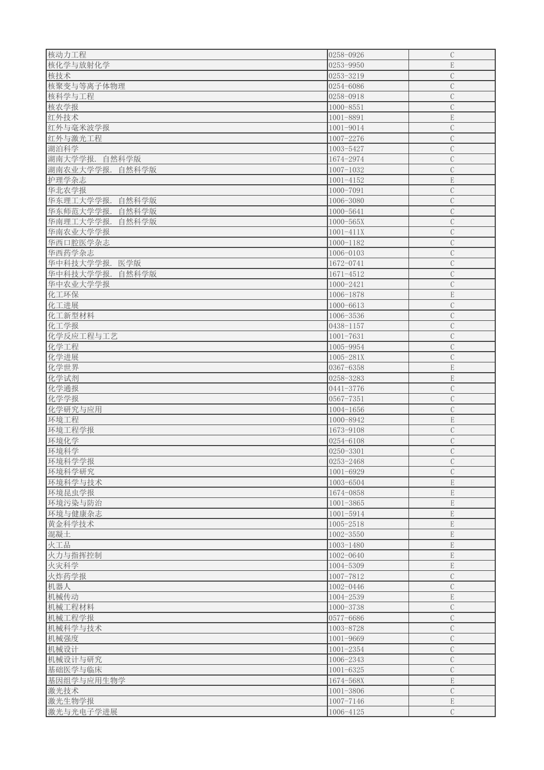| 核动力工程              | 0258-0926       | $\mathcal{C}$  |
|--------------------|-----------------|----------------|
|                    |                 |                |
| 核化学与放射化学           | $ 0253 - 9950 $ | $\mathbf E$    |
| 核技术                | $ 0253 - 3219 $ | $\mathbf C$    |
| 核聚变与等离子体物理         | $ 0254 - 6086 $ | $\mathcal{C}$  |
| 核科学与工程             | 0258-0918       | $\mathcal{C}$  |
| 核农学报               | $1000 - 8551$   | $\mathcal{C}$  |
| 红外技术               | 1001-8891       | $\mathbf E$    |
| 红外与毫米波学报           | 1001-9014       | $\mathcal{C}$  |
| 红外与激光工程            | 1007-2276       | $\mathcal{C}$  |
| 湖泊科学               | 1003-5427       | $\mathcal{C}$  |
| 湖南大学学报.<br>自然科学版   | 1674-2974       | $\mathcal{C}$  |
|                    |                 |                |
| 湖南农业大学学报.自然科学版     | $1007 - 1032$   | $\mathcal{C}$  |
| 护理学杂志              | $1001 - 4152$   | $\mathbf E$    |
| 华北农学报              | $1000 - 7091$   | $\mathcal{C}$  |
| 华东理工大学学报.<br>自然科学版 | 1006-3080       | $\overline{C}$ |
| 华东师范大学学报.<br>自然科学版 | 1000-5641       | $\mathcal{C}$  |
| 华南理工大学学报.<br>自然科学版 | $1000 - 565X$   | $\mathcal{C}$  |
| 华南农业大学学报           | $1001 - 411X$   | $\mathcal{C}$  |
| 华西口腔医学杂志           | $1000 - 1182$   | $\mathcal{C}$  |
| 华西药学杂志             | 1006-0103       | $\mathcal{C}$  |
|                    |                 | $\mathcal{C}$  |
| 华中科技大学学报.<br>医学版   | 1672-0741       |                |
| 华中科技大学学报.<br>自然科学版 | 1671-4512       | $\mathcal{C}$  |
| 华中农业大学学报           | 1000-2421       | $\mathcal{C}$  |
| 化工环保               | 1006-1878       | E              |
| 化工进展               | 1000-6613       | $\mathcal{C}$  |
| 化工新型材料             | 1006-3536       | $\mathcal{C}$  |
| 化工学报               | 0438-1157       | $\mathbf C$    |
| 化学反应工程与工艺          | $1001 - 7631$   | $\mathcal{C}$  |
| 化学工程               | 1005-9954       | $\mathcal{C}$  |
| 化学进展               | 1005-281X       | $\mathcal{C}$  |
| 化学世界               | 0367-6358       | $\mathbf E$    |
|                    |                 |                |
| 化学试剂               | 0258-3283       | ${\bf E}$      |
| 化学通报               | 0441-3776       | $\mathcal{C}$  |
| 化学学报               | $ 0567 - 7351 $ | $\mathcal{C}$  |
| 化学研究与应用            | $1004 - 1656$   | $\mathcal{C}$  |
| 环境工程               | 1000-8942       | ${\bf E}$      |
| 环境工程学报             | 1673-9108       | $\mathcal{C}$  |
| 环境化学               | 0254-6108       | $\mathcal{C}$  |
| 环境科学               | $0250 - 3301$   | $\mathcal{C}$  |
| 环境科学学报             | 0253-2468       | $\mathcal{C}$  |
| 环境科学研究             | $1001 - 6929$   | $\mathcal{C}$  |
|                    |                 |                |
| 环境科学与技术            | 1003-6504       | ${\bf E}$      |
| 环境昆虫学报             | 1674-0858       | $\mathbf E$    |
| 环境污染与防治            | $1001 - 3865$   | $\mathbf E$    |
| 环境与健康杂志            | 1001-5914       | $\mathbf E$    |
| 黄金科学技术             | 1005-2518       | $\mathbf E$    |
| 混凝土                | $1002 - 3550$   | $\mathbf E$    |
| 火工品                | 1003-1480       | $\mathbf E$    |
| 火力与指挥控制            | 1002-0640       | $\mathbf E$    |
| 火灾科学               | 1004-5309       | ${\bf E}$      |
| 火炸药学报              | 1007-7812       | $\mathcal{C}$  |
|                    |                 |                |
| 机器人                | 1002-0446       | $\mathcal{C}$  |
| 机械传动               | 1004-2539       | ${\bf E}$      |
| 机械工程材料             | 1000-3738       | $\mathcal{C}$  |
| 机械工程学报             | 0577-6686       | $\mathcal{C}$  |
| 机械科学与技术            | 1003-8728       | $\mathcal{C}$  |
| 机械强度               | 1001-9669       | $\mathcal{C}$  |
| 机械设计               | $1001 - 2354$   | $\mathcal{C}$  |
| 机械设计与研究            | 1006-2343       | $\mathcal{C}$  |
| 基础医学与临床            | $1001 - 6325$   | $\mathcal{C}$  |
| 基因组学与应用生物学         | 1674-568X       | $\mathbf E$    |
|                    |                 | $\mathcal{C}$  |
| 激光技术               | $1001 - 3806$   |                |
| 激光生物学报             | 1007-7146       | $\mathbf E$    |
| 激光与光电子学进展          | 1006-4125       | $\mathcal{C}$  |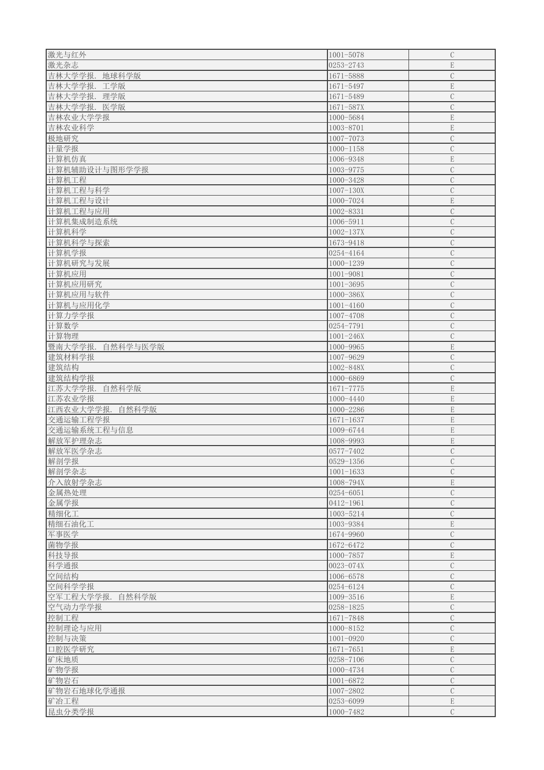| 激光与红外               | $1001 - 5078$ | $\mathbf C$   |
|---------------------|---------------|---------------|
|                     |               |               |
| 激光杂志                | 0253-2743     | $\mathbf E$   |
| 吉林大学学报.<br>地球科学版    | 1671-5888     | $\mathbf C$   |
| 吉林大学学报.<br>工学版      | 1671-5497     | $\mathbf E$   |
| 吉林大学学报.<br>理学版      | 1671-5489     | $\mathbf C$   |
| 吉林大学学报.             | $1671 - 587X$ | $\mathcal{C}$ |
| 医学版                 |               |               |
| 吉林农业大学学报            | 1000-5684     | $\mathbf E$   |
| 吉林农业科学              | 1003-8701     | $\mathbf E$   |
| 极地研究                | 1007-7073     | $\mathbf C$   |
| 计量学报                | $1000 - 1158$ | $\mathcal{C}$ |
|                     | 1006-9348     | $\mathbf E$   |
| 计算机仿真               |               |               |
| 计算机辅助设计与图形学学报       | 1003-9775     | $\mathcal{C}$ |
| 计算机工程               | 1000-3428     | $\mathbf C$   |
| 计算机工程与科学            | $1007 - 130X$ | $\mathcal{C}$ |
| 计算机工程与设计            | 1000-7024     | $\mathbf E$   |
| 计算机工程与应用            | 1002-8331     | $\mathcal{C}$ |
|                     |               |               |
| 计算机集成制造系统           | 1006-5911     | $\mathcal{C}$ |
| 计算机科学               | $1002 - 137X$ | $\mathbf C$   |
| 计算机科学与探索            | 1673-9418     | $\mathcal{C}$ |
| 计算机学报               | 0254-4164     | $\mathcal{C}$ |
|                     |               |               |
| 计算机研究与发展            | $1000 - 1239$ | $\mathcal{C}$ |
| 计算机应用               | 1001-9081     | $\mathbf C$   |
| 计算机应用研究             | $1001 - 3695$ | $\mathcal{C}$ |
| 计算机应用与软件            | 1000-386X     | $\mathcal{C}$ |
| 计算机与应用化学            | $1001 - 4160$ | $\mathcal{C}$ |
|                     |               |               |
| 计算力学学报              | 1007-4708     | $\mathcal{C}$ |
| 计算数学                | 0254-7791     | $\mathbf C$   |
| 计算物理                | $1001 - 246X$ | $\mathcal{C}$ |
| 暨南大学学报.<br>自然科学与医学版 | 1000-9965     | $\mathbf E$   |
|                     |               | $\mathcal{C}$ |
| 建筑材料学报              | 1007-9629     |               |
| 建筑结构                | 1002-848X     |               |
|                     |               | $\mathbf C$   |
| 建筑结构学报              | 1000-6869     | $\mathcal{C}$ |
| 江苏大学学报.<br>自然科学版    | $1671 - 7775$ | $\mathbf E$   |
|                     |               |               |
| 江苏农业学报              | $1000 - 4440$ | ${\bf E}$     |
| 江西农业大学学报.<br>自然科学版  | $1000 - 2286$ | ${\bf E}$     |
| 交通运输工程学报            | $1671 - 1637$ | $\mathbf E$   |
| 交通运输系统工程与信息         | 1009-6744     | $\mathbf E$   |
| 解放军护理杂志             | 1008-9993     | $\mathbf E$   |
|                     |               |               |
| 解放军医学杂志             | 0577-7402     | $\mathcal{C}$ |
| 解剖学报                | 0529-1356     | $\mathcal{C}$ |
| 解剖学杂志               | $1001 - 1633$ | $\mathcal{C}$ |
| 介入放射学杂志             | 1008-794X     | $\mathbf E$   |
| 金属热处理               | 0254-6051     | $\mathcal{C}$ |
|                     | $0412 - 1961$ |               |
| 金属学报                |               | $\mathcal{C}$ |
| 精细化工                | 1003-5214     | $\mathcal{C}$ |
| 精细石油化工              | 1003-9384     | $\mathbf E$   |
| 军事医学                | 1674-9960     | $\mathcal{C}$ |
| 菌物学报                | 1672-6472     | $\mathcal{C}$ |
| 科技导报                | 1000-7857     | $\mathbf E$   |
|                     |               |               |
| 科学通报                | 0023-074X     | $\mathcal{C}$ |
| 空间结构                | 1006-6578     | $\mathcal{C}$ |
| 空间科学学报              | 0254-6124     | $\mathcal{C}$ |
| 空军工程大学学报.<br>自然科学版  | 1009-3516     | $\mathbf E$   |
| 空气动力学学报             | 0258-1825     | $\mathcal{C}$ |
|                     |               |               |
| 控制工程                | 1671-7848     | $\mathcal{C}$ |
| 控制理论与应用             | 1000-8152     | $\mathcal{C}$ |
| 控制与决策               | $1001 - 0920$ | $\mathcal{C}$ |
| 口腔医学研究              | $1671 - 7651$ | $\mathbf E$   |
|                     | 0258-7106     | $\mathcal{C}$ |
| 矿床地质                |               |               |
| 矿物学报                | 1000-4734     | $\mathcal{C}$ |
| 矿物岩石                | 1001-6872     | $\mathcal{C}$ |
| 矿物岩石地球化学通报          | 1007-2802     | $\mathcal{C}$ |
| 矿冶工程                | 0253-6099     | $\mathbf E$   |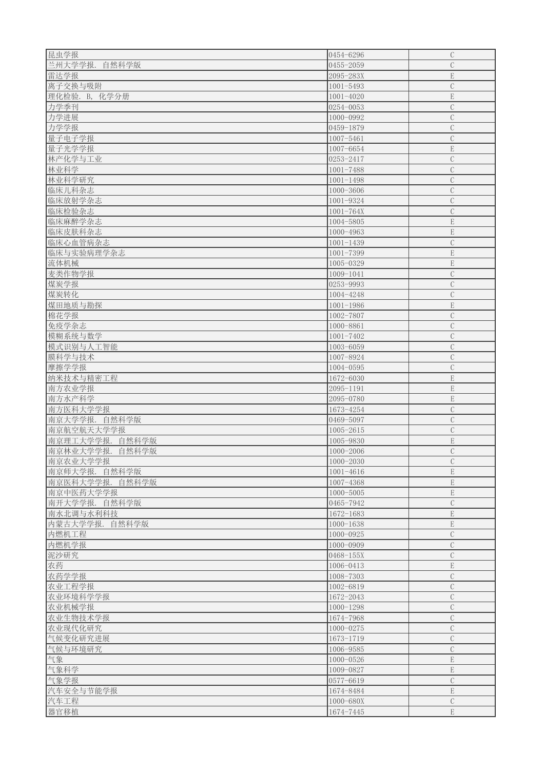| 昆虫学报               | 0454-6296     | $\mathcal{C}$  |
|--------------------|---------------|----------------|
| 兰州大学学报.<br>自然科学版   | 0455-2059     | $\mathcal{C}$  |
| 雷达学报               | 2095-283X     | $\mathbf E$    |
| 离子交换与吸附            | $1001 - 5493$ | $\mathcal{C}$  |
| 理化检验. B, 化学分册      | $1001 - 4020$ | $\mathbf E$    |
| 力学季刊               | $0254 - 0053$ | $\mathcal{C}$  |
| 力学进展               | 1000-0992     | $\mathcal{C}$  |
| 力学学报               | 0459-1879     | $\overline{C}$ |
| 量子电子学报             | 1007-5461     | $\mathcal{C}$  |
|                    | 1007-6654     | $\mathbf E$    |
| 量子光学学报             | 0253-2417     | $\mathcal{C}$  |
| 林产化学与工业            |               |                |
| 林业科学               | $1001 - 7488$ | $\mathbf C$    |
| 林业科学研究             | $1001 - 1498$ | $\mathcal{C}$  |
| 临床儿科杂志             | 1000-3606     | $\mathcal{C}$  |
| 临床放射学杂志            | 1001-9324     | $\mathcal{C}$  |
| 临床检验杂志             | $1001 - 764X$ | $\mathcal{C}$  |
| 临床麻醉学杂志            | 1004-5805     | $\mathbf E$    |
| 临床皮肤科杂志            | 1000-4963     | $\mathbf E$    |
| 临床心血管病杂志           | $1001 - 1439$ | $\mathcal{C}$  |
| 临床与实验病理学杂志         | $1001 - 7399$ | $\mathbf E$    |
| 流体机械               | 1005-0329     | $\mathbf E$    |
| 麦类作物学报             | 1009-1041     | $\mathcal{C}$  |
| 煤炭学报               | 0253-9993     | $\mathcal{C}$  |
| 煤炭转化               | 1004-4248     | $\mathcal{C}$  |
| 煤田地质与勘探            | $1001 - 1986$ | $\mathbf E$    |
| 棉花学报               | 1002-7807     | $\overline{C}$ |
| 免疫学杂志              | 1000-8861     | $\mathcal{C}$  |
| 模糊系统与数学            | $1001 - 7402$ | $\mathcal{C}$  |
| 模式识别与人工智能          | 1003-6059     | $\mathcal{C}$  |
| 膜科学与技术             | 1007-8924     | $\mathcal{C}$  |
| 摩擦学学报              | 1004-0595     | $\mathcal{C}$  |
| 纳米技术与精密工程          | 1672-6030     | $\mathbf E$    |
| 南方农业学报             | 2095-1191     | $\mathbf E$    |
| 南方水产科学             | 2095-0780     | $\mathbf E$    |
| 南方医科大学学报           | 1673-4254     | $\overline{C}$ |
| 南京大学学报.自然科学版       | 0469-5097     | $\mathcal{C}$  |
| 南京航空航天大学学报         | 1005-2615     | $\mathcal{C}$  |
| 南京理工大学学报.<br>自然科学版 | 1005-9830     | $\mathbf E$    |
| 南京林业大学学报.<br>自然科学版 | 1000-2006     | $\mathcal{C}$  |
| 南京农业大学学报           | $1000 - 2030$ | $\mathcal{C}$  |
| 南京师大学报.自然科学版       | $1001 - 4616$ | ${\bf E}$      |
| 南京医科大学学报.自然科学版     | 1007-4368     | ${\bf E}$      |
| 南京中医药大学学报          | $1000 - 5005$ | ${\bf E}$      |
| 南开大学学报.自然科学版       | 0465-7942     | $\mathcal{C}$  |
|                    |               | ${\bf E}$      |
| 南水北调与水利科技          | 1672-1683     |                |
| 内蒙古大学学报.<br>自然科学版  | $1000 - 1638$ | $\mathbf E$    |
| 内燃机工程              | $1000 - 0925$ | $\mathcal{C}$  |
| 内燃机学报              | 1000-0909     | $\mathcal{C}$  |
| 泥沙研究               | $0468 - 155X$ | $\mathbf C$    |
| 农药                 | 1006-0413     | ${\bf E}$      |
| 农药学学报              | 1008-7303     | $\mathcal{C}$  |
| 农业工程学报             | 1002-6819     | $\mathcal{C}$  |
| 农业环境科学学报           | 1672-2043     | $\mathbf C$    |
| 农业机械学报             | $1000 - 1298$ | $\mathcal{C}$  |
| 农业生物技术学报           | 1674-7968     | $\mathcal{C}$  |
| 农业现代化研究            | 1000-0275     | $\mathcal{C}$  |
| 气候变化研究进展           | 1673-1719     | $\mathcal{C}$  |
| 气候与环境研究            | 1006-9585     | $\mathcal{C}$  |
| 气象                 | 1000-0526     | $\mathbf E$    |
| 气象科学               | 1009-0827     | $\mathbf E$    |
| 气象学报               | 0577-6619     | $\mathcal{C}$  |
| 汽车安全与节能学报          | 1674-8484     | $\mathbf E$    |
| 汽车工程               | 1000-680X     | $\mathcal{C}$  |
| 器官移植               | 1674-7445     | $\mathbf E$    |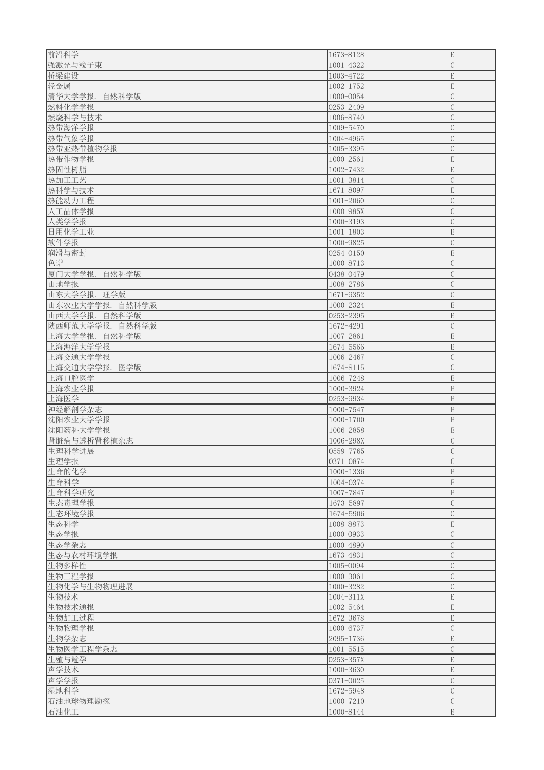| 前沿科学               | 1673-8128              | $\mathbf E$                  |
|--------------------|------------------------|------------------------------|
|                    |                        |                              |
| 强激光与粒子束            | 1001-4322              | $\mathcal{C}$                |
| 桥梁建设               | 1003-4722              | $\mathbf E$                  |
| 轻金属                | $1002 - 1752$          | $\mathbf E$                  |
| 清华大学学报.<br>自然科学版   | 1000-0054              | $\mathbf C$                  |
| 燃料化学学报             | 0253-2409              | $\mathcal{C}$                |
| 燃烧科学与技术            | 1006-8740              | $\mathcal{C}$                |
| 热带海洋学报             | 1009-5470              | $\mathcal{C}$                |
| 热带气象学报             | 1004-4965              | $\mathcal{C}$                |
|                    |                        |                              |
| 热带亚热带植物学报          | 1005-3395              | $\mathcal{C}$                |
| 热带作物学报             | $1000 - 2561$          | ${\bf E}$                    |
| 热固性树脂              | 1002-7432              | ${\bf E}$                    |
| 热加工工艺              | 1001-3814              | $\mathbf C$                  |
| 热科学与技术             | 1671-8097              | $\mathbf E$                  |
| 热能动力工程             | $1001 - 2060$          | $\overline{C}$               |
| 人工晶体学报             | 1000-985X              | $\mathcal{C}$                |
| 人类学学报              | $1000 - 3193$          | $\mathcal{C}$                |
|                    |                        |                              |
| 日用化学工业             | $1001 - 1803$          | $\mathbf E$                  |
| 软件学报               | 1000-9825              | $\mathcal{C}$                |
| 润滑与密封              | 0254-0150              | $\mathbf E$                  |
| 色谱                 | 1000-8713              | $\mathcal{C}$                |
| 厦门大学学报.<br>自然科学版   | 0438-0479              | $\mathcal{C}$                |
| 山地学报               | 1008-2786              | $\mathcal{C}$                |
| 山东大学学报. 理学版        | 1671-9352              | $\mathcal{C}$                |
| 山东农业大学学报.自然科学版     | 1000-2324              | E                            |
|                    |                        |                              |
| 山西大学学报.  <br>自然科学版 | 0253-2395              | E                            |
| 陕西师范大学学报.<br>自然科学版 | 1672-4291              | $\mathbf C$                  |
| 上海大学学报.<br>自然科学版   | 1007-2861              | $\mathbf E$                  |
| 上海海洋大学学报           | 1674-5566              | $\mathbf E$                  |
| 上海交通大学学报           | 1006-2467              | $\mathcal{C}$                |
| 上海交通大学学报.医学版       | 1674-8115              | $\mathbf C$                  |
| 上海口腔医学             |                        |                              |
|                    |                        |                              |
|                    | 1006-7248              | ${\bf E}$                    |
| 上海农业学报             | 1000-3924              | ${\bf E}$                    |
| 上海医学               | 0253-9934              | $\mathbf E$                  |
| 神经解剖学杂志            | 1000-7547              | $\mathbf E$                  |
| 沈阳农业大学学报           | $1000 - 1700$          | ${\bf E}$                    |
| 沈阳药科大学学报           | 1006-2858              | ${\bf E}$                    |
|                    |                        | $\mathcal{C}$                |
| 肾脏病与透析肾移植杂志        | 1006-298X              |                              |
| 生理科学进展             | 0559-7765              | $\mathcal{C}$                |
| 生理学报               | 0371-0874              | $\mathcal{C}$                |
| 生命的化学              | $1000 - 1336$          | $\mathbf E$                  |
| 生命科学               | 1004-0374              | ${\bf E}$                    |
| 生命科学研究             | 1007-7847              | $\mathbf E$                  |
| 生态毒理学报             | 1673-5897              | $\mathcal{C}$                |
|                    | 1674-5906              | $\mathcal{C}$                |
| 生态环境学报             |                        |                              |
| 生态科学               | 1008-8873              | $\mathbf E$                  |
| 生态学报               | $1000 - 0933$          | $\mathcal{C}$                |
| 生态学杂志              | 1000-4890              | $\mathcal{C}$                |
| 生态与农村环境学报          | 1673-4831              | $\mathcal{C}$                |
| 生物多样性              | 1005-0094              | $\mathcal{C}$                |
| 生物工程学报             | $1000 - 3061$          | $\mathcal{C}$                |
| 生物化学与生物物理进展        | 1000-3282              | $\mathcal{C}$                |
| 生物技术               | $1004 - 311X$          | $\mathbf E$                  |
|                    |                        |                              |
| 生物技术通报             | 1002-5464              | ${\bf E}$                    |
| 生物加工过程             | 1672-3678              | $\mathbf E$                  |
| 生物物理学报             | 1000-6737              | $\mathcal{C}$                |
| 生物学杂志              | 2095-1736              | $\mathbf E$                  |
| 生物医学工程学杂志          | $1001 - 5515$          | $\mathcal{C}$                |
| 生殖与避孕              | 0253-357X              | $\mathbf E$                  |
| 声学技术               | $1000 - 3630$          | $\mathbf E$                  |
|                    | $0371 - 0025$          | $\mathcal{C}$                |
| 声学学报               |                        |                              |
| 湿地科学               | 1672-5948              | $\mathcal{C}$                |
| 石油地球物理勘探<br>石油化工   | 1000-7210<br>1000-8144 | $\mathcal{C}$<br>$\mathbf E$ |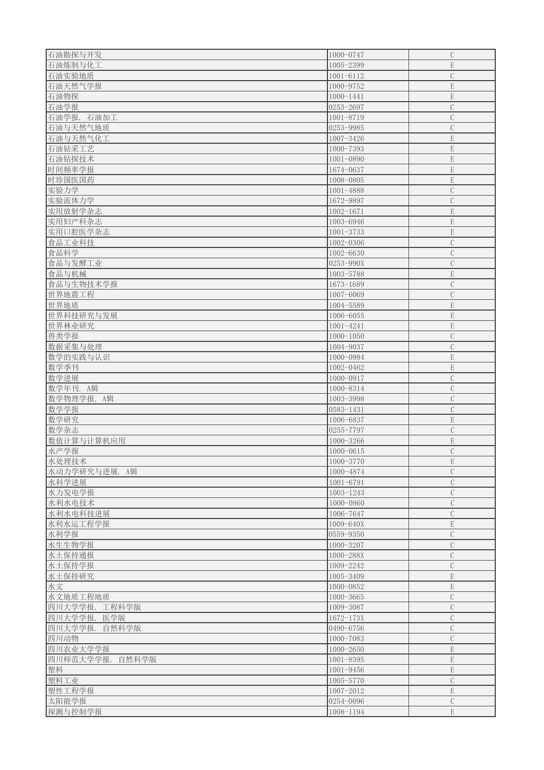| 石油勘探与开发          | 1000-0747       | $\mathcal{C}$ |
|------------------|-----------------|---------------|
| 石油炼制与化工          | 1005-2399       | $\mathbf E$   |
| 石油实验地质           | $1001 - 6112$   | $\mathcal{C}$ |
| 石油天然气学报          | 1000-9752       | $\mathbf E$   |
| 石油物探             | $1000 - 1441$   | $\mathbf E$   |
| 石油学报             | 0253-2697       | $\mathcal{C}$ |
| 石油学报. 石油加工       | 1001-8719       | $\mathcal{C}$ |
| 石油与天然气地质         | 0253-9985       | $\mathcal{C}$ |
| 石油与天然气化工         | 1007-3426       | $\mathbf E$   |
| 石油钻采工艺           | 1000-7393       | $\mathbf E$   |
| 石油钻探技术           | $1001 - 0890$   | $\mathbf E$   |
| 时间频率学报           | 1674-0637       | ${\bf E}$     |
| 时珍国医国药           | 1008-0805       | $\mathbf E$   |
| 实验力学             | 1001-4888       | $\mathcal{C}$ |
| 实验流体力学           | 1672-9897       | $\mathcal{C}$ |
| 实用放射学杂志          | $1002 - 1671$   | $\mathbf E$   |
| 实用妇产科杂志          | 1003-6946       | $\mathbf E$   |
| 实用口腔医学杂志         | $1001 - 3733$   | $\mathbf E$   |
| 食品工业科技           | 1002-0306       | $\mathcal{C}$ |
| 食品科学             | 1002-6630       | $\mathcal{C}$ |
| 食品与发酵工业          | 0253-990X       | $\mathcal{C}$ |
| 食品与机械            | 1003-5788       | $\mathbf E$   |
| 食品与生物技术学报        | 1673-1689       | $\mathcal{C}$ |
| 世界地震工程           | 1007-6069       | $\mathcal{C}$ |
| 世界地质             | 1004-5589       | $\mathbf E$   |
| 世界科技研究与发展        | 1006-6055       | ${\bf E}$     |
| 世界林业研究           | $1001 - 4241$   | $\mathbf E$   |
| 兽类学报             | $1000 - 1050$   | $\mathbf C$   |
| 数据采集与处理          | 1004-9037       | $\mathcal{C}$ |
| 数学的实践与认识         | 1000-0984       | ${\bf E}$     |
| 数学季刊             | 1002-0462       | $\mathbf E$   |
| 数学进展             | 1000-0917       | $\mathcal{C}$ |
| 数学年刊. A辑         | 1000-8314       | $\mathcal{C}$ |
| 数学物理学报. A辑       | 1003-3998       | $\mathcal{C}$ |
| 数学学报             | 0583-1431       | $\mathcal{C}$ |
| 数学研究             | 1006-6837       | $\mathbf E$   |
| 数学杂志             | 0255-7797       | $\mathcal{C}$ |
| 数值计算与计算机应用       | $1000 - 3266$   | $\mathbf E$   |
| 水产学报             | $1000 - 0615$   | $\mathcal{C}$ |
| 水处理技术            | 1000-3770       | $\mathbf E$   |
| 水动力学研究与进展. A辑    | 1000-4874       | $\mathcal{C}$ |
| 水科学进展            | $1001 - 6791$   | $\mathcal{C}$ |
| 水力发电学报           | 1003-1243       | $\mathcal{C}$ |
| 水利水电技术           | 1000-0860       | $\mathcal{C}$ |
| 水利水电科技进展         | 1006-7647       | $\mathbf C$   |
| 水利水运工程学报         | 1009-640X       | ${\bf E}$     |
| 水利学报             | 0559-9350       | $\mathcal{C}$ |
| 水生生物学报           | 1000-3207       | $\mathcal{C}$ |
| 水土保持通报           | 1000-288X       | $\mathcal{C}$ |
| 水土保持学报           | 1009-2242       | $\mathcal{C}$ |
| 水土保持研究           | 1005-3409       | ${\bf E}$     |
| 水文               | 1000-0852       | $\mathbf E$   |
| 水文地质工程地质         | 1000-3665       | $\mathcal{C}$ |
| 四川大学学报. 工程科学版    | 1009-3087       | $\mathbf C$   |
| 四川大学学报.医学版       | $1672 - 173X$   | $\mathbf C$   |
| 四川大学学报.<br>自然科学版 | $ 0490 - 6756 $ | $\mathcal{C}$ |
| 四川动物             | $1000 - 7083$   | $\mathcal{C}$ |
| 四川农业大学学报         | $1000 - 2650$   | $\mathbf E$   |
| 四川师范大学学报.自然科学版   | 1001-8395       | ${\bf E}$     |
| 塑料               | $1001 - 9456$   | $\mathbf E$   |
| 塑料工业             | 1005-5770       | $\mathcal{C}$ |
| 塑性工程学报           | 1007-2012       | $\mathbf E$   |
| 太阳能学报            | 0254-0096       | $\mathcal{C}$ |
| 探测与控制学报          | 1008-1194       | $\mathbf E$   |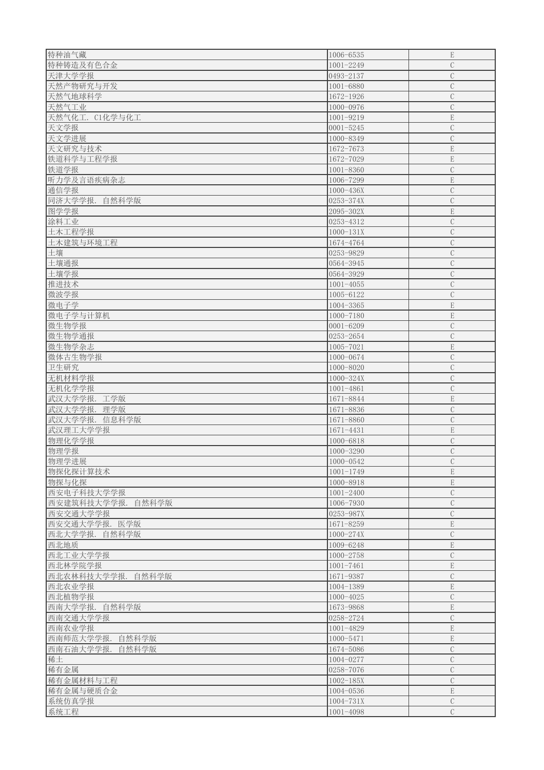| 特种油气藏                | 1006-6535      | $\mathbf E$   |
|----------------------|----------------|---------------|
| 特种铸造及有色合金            | $1001 - 2249$  | $\mathcal{C}$ |
| 天津大学学报               | $ 0493 - 2137$ | $\mathbf C$   |
| 天然产物研究与开发            | 1001-6880      | $\mathcal{C}$ |
| 天然气地球科学              | 1672-1926      | $\mathcal{C}$ |
| 天然气工业                | 1000-0976      | $\mathcal{C}$ |
| 天然气化工. C1化学与化工       | 1001-9219      | $\mathbf E$   |
|                      |                | $\mathcal{C}$ |
| 天文学报                 | $ 0001 - 5245$ |               |
| 天文学进展                | 1000-8349      | $\mathcal{C}$ |
| 天文研究与技术              | 1672-7673      | $\mathbf E$   |
| 铁道科学与工程学报            | 1672-7029      | $\mathbf E$   |
| 铁道学报                 | $1001 - 8360$  | $\mathcal{C}$ |
| 听力学及言语疾病杂志           | 1006-7299      | $\mathbf E$   |
| 通信学报                 | 1000-436X      | $\mathcal{C}$ |
| 同济大学学报.<br>自然科学版     | 0253-374X      | $\mathcal{C}$ |
| 图学学报                 | 2095-302X      | $\mathbf E$   |
| 涂料工业                 | 0253-4312      | $\mathcal{C}$ |
| 土木工程学报               | $1000 - 131X$  | $\mathcal{C}$ |
| 土木建筑与环境工程            | 1674-4764      | $\mathcal{C}$ |
| 土壤                   | 0253-9829      | $\mathcal{C}$ |
| 土壤通报                 | 0564-3945      | $\mathcal{C}$ |
| 土壤学报                 | 0564-3929      | $\mathcal{C}$ |
| 推进技术                 | $1001 - 4055$  | $\mathcal{C}$ |
| 微波学报                 | 1005-6122      | $\mathcal{C}$ |
| 微电子学                 | 1004-3365      | E             |
| 微电子学与计算机             | $1000 - 7180$  | ${\rm E}$     |
|                      |                |               |
| 微生物学报                | $0001 - 6209$  | $\mathbf C$   |
| 微生物学通报               | 0253-2654      | $\mathcal{C}$ |
| 微生物学杂志               | 1005-7021      | $\mathbf E$   |
| 微体古生物学报              | 1000-0674      | $\mathcal{C}$ |
| 卫生研究                 | 1000-8020      | $\mathbf C$   |
| 无机材料学报               | 1000-324X      | $\mathcal{C}$ |
| 无机化学学报               | $1001 - 4861$  | $\mathcal{C}$ |
| 武汉大学学报.<br>工学版       | 1671-8844      | $\mathbf E$   |
| 武汉大学学报.<br>理学版       | 1671-8836      | $\mathcal{C}$ |
| 武汉大学学报.<br>信息科学版     | 1671-8860      | $\mathcal{C}$ |
| 武汉理工大学学报             | 1671-4431      | $\mathbf E$   |
| 物理化学学报               | 1000-6818      | $\mathcal{C}$ |
| 物理学报                 | 1000-3290      | $\mathcal{C}$ |
| 物理学进展                | 1000-0542      | $\mathcal{C}$ |
| 物探化探计算技术             | $1001 - 1749$  | $\mathbf E$   |
| 物探与化探                | 1000-8918      | $\mathbf E$   |
| 西安电子科技大学学报           | $1001 - 2400$  | $\mathcal{C}$ |
| 西安建筑科技大学学报.<br>自然科学版 | 1006-7930      | $\mathcal{C}$ |
| 西安交通大学学报             | 0253-987X      | $\mathcal{C}$ |
| 西安交通大学学报.<br>医学版     | 1671-8259      | $\mathbf E$   |
| 西北大学学报. 自然科学版        | $1000 - 274X$  | $\mathcal{C}$ |
| 西北地质                 | 1009-6248      | ${\bf E}$     |
| 西北工业大学学报             | 1000-2758      | $\mathcal{C}$ |
|                      | $1001 - 7461$  | ${\bf E}$     |
| 西北林学院学报              |                |               |
| 西北农林科技大学学报. 自然科学版    | 1671-9387      | $\mathcal{C}$ |
| 西北农业学报               | 1004-1389      | ${\bf E}$     |
| 西北植物学报               | $1000 - 4025$  | $\mathcal{C}$ |
| 西南大学学报.<br>自然科学版     | 1673-9868      | $\mathbf E$   |
| 西南交通大学学报             | 0258-2724      | $\mathcal{C}$ |
| 西南农业学报               | 1001-4829      | $\mathbf E$   |
| 西南师范大学学报.<br>自然科学版   | 1000-5471      | $\mathbf E$   |
| 西南石油大学学报.<br>自然科学版   | 1674-5086      | $\mathcal{C}$ |
| 稀土                   |                | $\mathcal{C}$ |
| 稀有金属                 | 1004-0277      |               |
|                      | 0258-7076      | $\mathcal{C}$ |
| 稀有金属材料与工程            | $1002 - 185X$  | $\mathcal{C}$ |
| 稀有金属与硬质合金            | $1004 - 0536$  | $\mathbf E$   |
| 系统仿真学报               | 1004-731X      | $\mathcal{C}$ |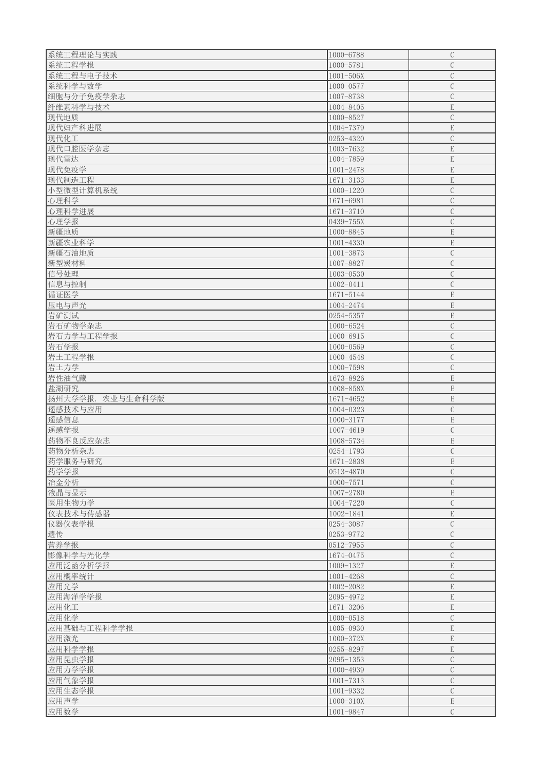| 系统工程理论与实践           | 1000-6788       | $\mathcal{C}$ |
|---------------------|-----------------|---------------|
| 系统工程学报              | 1000-5781       | $\mathcal{C}$ |
| 系统工程与电子技术           | $1001 - 506X$   | $\mathbf C$   |
| 系统科学与数学             | 1000-0577       | $\mathbf C$   |
| 细胞与分子免疫学杂志          | 1007-8738       | $\mathcal{C}$ |
| 纤维素科学与技术            | 1004-8405       | $\mathbf E$   |
| 现代地质                | 1000-8527       | $\mathcal{C}$ |
| 现代妇产科进展             | 1004-7379       | $\mathbf E$   |
|                     |                 |               |
| 现代化工                | 0253-4320       | $\mathcal{C}$ |
| 现代口腔医学杂志            | 1003-7632       | ${\bf E}$     |
| 现代雷达                | 1004-7859       | $\mathbf E$   |
| 现代免疫学               | $1001 - 2478$   | ${\bf E}$     |
| 现代制造工程              | $1671 - 3133$   | $\mathbf E$   |
| 小型微型计算机系统           | $1000 - 1220$   | $\mathcal{C}$ |
| 心理科学                | 1671-6981       | $\mathcal{C}$ |
| 心理科学进展              | 1671-3710       | $\mathcal{C}$ |
| 心理学报                | 0439-755X       | $\mathcal{C}$ |
| 新疆地质                | 1000-8845       | E             |
| 新疆农业科学              | $1001 - 4330$   | $\mathbf E$   |
| 新疆石油地质              | $1001 - 3873$   | $\mathcal{C}$ |
| 新型炭材料               | 1007-8827       | $\mathcal{C}$ |
| 信号处理                | 1003-0530       | $\mathcal{C}$ |
| 信息与控制               | 1002-0411       | $\mathcal{C}$ |
| 循证医学                | 1671-5144       | E             |
| 压电与声光               | 1004-2474       | $\mathbf E$   |
|                     |                 |               |
| 岩矿测试                | 0254-5357       | ${\bf E}$     |
| 岩石矿物学杂志             | 1000-6524       | $\mathcal{C}$ |
| 岩石力学与工程学报           | 1000-6915       | $\mathbf C$   |
| 岩石学报                | $1000 - 0569$   | $\mathcal{C}$ |
| 岩土工程学报              | 1000-4548       | $\mathcal{C}$ |
| 岩土力学                | 1000-7598       | $\mathcal{C}$ |
| 岩性油气藏               | 1673-8926       | ${\bf E}$     |
| 盐湖研究                | 1008-858X       | ${\bf E}$     |
| 扬州大学学报.<br>农业与生命科学版 | 1671-4652       | ${\bf E}$     |
| 遥感技术与应用             | 1004-0323       | $\mathcal{C}$ |
| 遥感信息                | 1000-3177       | $\mathbf E$   |
| 遥感学报                | 1007-4619       | $\mathcal{C}$ |
| 药物不良反应杂志            | 1008-5734       | $\mathbf E$   |
| 药物分析杂志              | 0254-1793       | $\mathcal{C}$ |
| 药学服务与研究             | 1671-2838       | $\mathbf E$   |
| 药学学报                | 0513-4870       | $\mathcal{C}$ |
| 冶金分析                | $1000 - 7571$   | $\mathcal{C}$ |
|                     |                 |               |
| 液晶与显示               | 1007-2780       | $\mathbf E$   |
| 医用生物力学              | 1004-7220       | $\mathcal{C}$ |
| 仪表技术与传感器            | 1002-1841       | $\mathbf E$   |
| 仪器仪表学报              | $ 0254 - 3087 $ | $\mathcal{C}$ |
| 遗传                  | 0253-9772       | $\mathbf C$   |
| 营养学报                | $ 0512 - 7955 $ | $\mathcal{C}$ |
| 影像科学与光化学            | 1674-0475       | $\mathcal{C}$ |
| 应用泛函分析学报            | 1009-1327       | $\mathbf E$   |
| 应用概率统计              | $1001 - 4268$   | $\mathcal{C}$ |
| 应用光学                | 1002-2082       | $\mathbf E$   |
| 应用海洋学学报             | 2095-4972       | $\mathbf E$   |
| 应用化工                | 1671-3206       | ${\bf E}$     |
| 应用化学                | 1000-0518       | $\mathcal{C}$ |
| 应用基础与工程科学学报         | 1005-0930       | $\mathbf E$   |
| 应用激光                | 1000-372X       | $\mathbf E$   |
|                     |                 | $\mathbf E$   |
| 应用科学学报              | 0255-8297       |               |
| 应用昆虫学报              | $2095 - 1353$   | $\mathcal{C}$ |
| 应用力学学报              | 1000-4939       | $\mathcal{C}$ |
| 应用气象学报              | $1001 - 7313$   | $\mathcal{C}$ |
| 应用生态学报              | 1001-9332       | $\mathcal{C}$ |
| 应用声学                | $1000 - 310X$   | $\mathbf E$   |
| 应用数学                | 1001-9847       | $\mathcal{C}$ |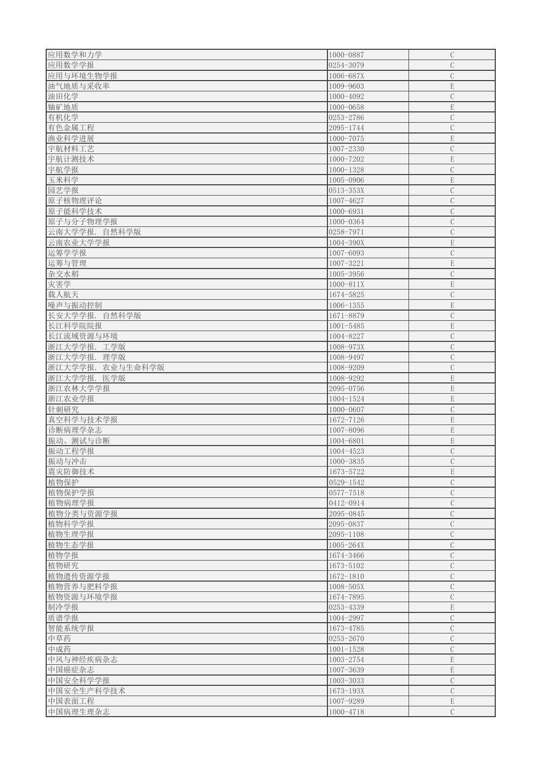| 应用数学和力学          | 1000-0887       | $\mathcal{C}$  |
|------------------|-----------------|----------------|
| 应用数学学报           | $ 0254 - 3079 $ | $\mathcal{C}$  |
| 应用与环境生物学报        | 1006-687X       | $\mathcal{C}$  |
| 油气地质与采收率         | 1009-9603       | $\mathbf E$    |
| 油田化学             | 1000-4092       | $\mathcal{C}$  |
| 铀矿地质             | $1000 - 0658$   | $\mathbf E$    |
|                  | 0253-2786       | $\mathcal{C}$  |
| 有机化学             |                 |                |
| 有色金属工程           | 2095-1744       | $\overline{C}$ |
| 渔业科学进展           | 1000-7075       | $\mathbf E$    |
| 宇航材料工艺           | 1007-2330       | $\mathcal{C}$  |
| 宇航计测技术           | 1000-7202       | $\mathbf E$    |
| 宇航学报             | $1000 - 1328$   | $\mathcal{C}$  |
| 玉米科学             | 1005-0906       | $\mathbf E$    |
| 园艺学报             | $0513 - 353X$   | $\mathcal{C}$  |
| 原子核物理评论          | 1007-4627       | $\mathcal{C}$  |
| 原子能科学技术          | 1000-6931       | $\mathcal{C}$  |
| 原子与分子物理学报        | 1000-0364       | $\mathcal{C}$  |
| 云南大学学报. 自然科学版    | 0258-7971       | $\mathcal{C}$  |
| 云南农业大学学报         | 1004-390X       | $\mathbf E$    |
| 运筹学学报            | 1007-6093       | $\mathcal{C}$  |
| 运筹与管理            | 1007-3221       | $\mathbf E$    |
| 杂交水稻             | 1005-3956       | $\mathcal{C}$  |
|                  |                 |                |
| 灾害学              | $1000 - 811X$   | $\mathbf E$    |
| 载人航天             | 1674-5825       | $\mathcal{C}$  |
| 噪声与振动控制          | $1006 - 1355$   | $\mathbf E$    |
| 长安大学学报. 自然科学版    | 1671-8879       | $\mathcal{C}$  |
| 长江科学院院报          | $1001 - 5485$   | $\mathbf E$    |
| 长江流域资源与环境        | 1004-8227       | $\mathbf C$    |
| 浙江大学学报. 工学版      | 1008-973X       | $\mathcal{C}$  |
| 浙江大学学报. 理学版      | 1008-9497       | $\mathcal{C}$  |
| 浙江大学学报. 农业与生命科学版 | 1008-9209       | $\mathcal{C}$  |
| 浙江大学学报.医学版       | 1008-9292       | $\mathbf E$    |
| 浙江农林大学学报         | 2095-0756       | $\mathbf E$    |
| 浙江农业学报           | 1004-1524       | $\mathbf E$    |
| 针刺研究             | 1000-0607       | $\mathcal{C}$  |
| 真空科学与技术学报        | 1672-7126       | $\mathbf E$    |
| 诊断病理学杂志          | 1007-8096       | $\mathbf E$    |
| 振动、测试与诊断         | 1004-6801       | $\mathbf E$    |
| 振动工程学报           | 1004-4523       | $\mathcal{C}$  |
|                  |                 |                |
| 振动与冲击            | $1000 - 3835$   | $\mathcal{C}$  |
| 震灾防御技术           | 1673-5722       | ${\bf E}$      |
| 植物保护             | 0529-1542       | $\mathcal{C}$  |
| 植物保护学报           | 0577-7518       | $\mathcal{C}$  |
| 植物病理学报           | 0412-0914       | $\mathcal{C}$  |
| 植物分类与资源学报        | 2095-0845       | $\mathcal C$   |
| 植物科学学报           | 2095-0837       | $\mathcal{C}$  |
| 植物生理学报           | $2095 - 1108$   | $\mathcal{C}$  |
| 植物生态学报           | 1005-264X       | $\mathcal{C}$  |
| 植物学报             | 1674-3466       | $\mathcal{C}$  |
| 植物研究             | 1673-5102       | $\mathcal{C}$  |
| 植物遗传资源学报         | 1672-1810       | $\mathcal{C}$  |
| 植物营养与肥料学报        | 1008-505X       | $\mathcal{C}$  |
|                  | 1674-7895       |                |
| 植物资源与环境学报        |                 | $\mathbf C$    |
| 制冷学报             | $ 0253 - 4339 $ | ${\bf E}$      |
| 质谱学报             | 1004-2997       | $\mathcal{C}$  |
| 智能系统学报           | 1673-4785       | $\mathcal{C}$  |
| 中草药              | 0253-2670       | $\mathcal{C}$  |
| 中成药              | $1001 - 1528$   | $\mathbf C$    |
| 中风与神经疾病杂志        | 1003-2754       | $\mathbf E$    |
| 中国癌症杂志           | 1007-3639       | $\mathbf E$    |
| 中国安全科学学报         | 1003-3033       | $\mathcal{C}$  |
| 中国安全生产科学技术       | $1673 - 193X$   | $\mathcal{C}$  |
| 中国表面工程           | 1007-9289       | $\mathbf E$    |
| 中国病理生理杂志         | 1000-4718       | $\mathcal{C}$  |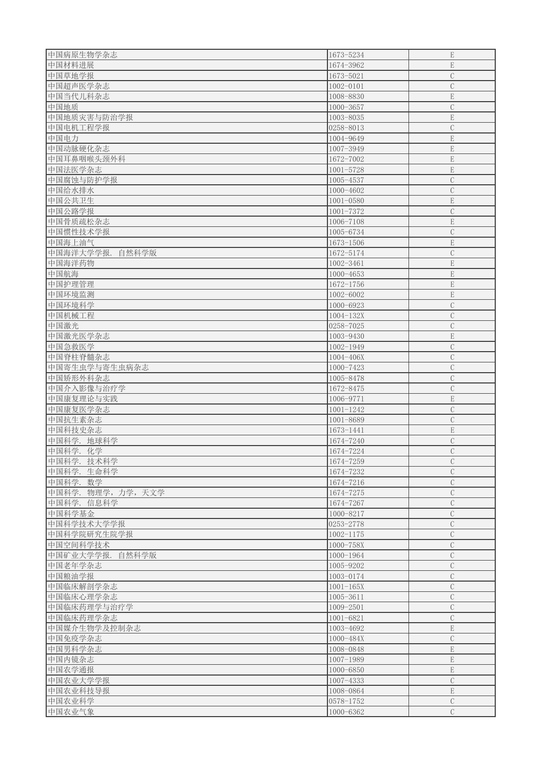| 中国病原生物学杂志          | 1673-5234       | ${\bf E}$     |
|--------------------|-----------------|---------------|
|                    |                 | $\mathbf E$   |
| 中国材料进展             | 1674-3962       |               |
| 中国草地学报             | 1673-5021       | $\mathcal C$  |
| 中国超声医学杂志           | $1002 - 0101$   | $\mathcal{C}$ |
| 中国当代儿科杂志           | 1008-8830       | $\mathbf E$   |
| 中国地质               | $1000 - 3657$   | $\mathcal{C}$ |
| 中国地质灾害与防治学报        | 1003-8035       | $\mathbf E$   |
| 中国电机工程学报           | 0258-8013       | $\mathcal{C}$ |
|                    |                 |               |
| 中国电力               | 1004-9649       | ${\bf E}$     |
| 中国动脉硬化杂志           | 1007-3949       | ${\bf E}$     |
| 中国耳鼻咽喉头颈外科         | 1672-7002       | ${\bf E}$     |
| 中国法医学杂志            | $1001 - 5728$   | ${\bf E}$     |
| 中国腐蚀与防护学报          | 1005-4537       | $\mathbf C$   |
| 中国给水排水             | 1000-4602       | $\mathcal{C}$ |
| 中国公共卫生             | $1001 - 0580$   | $\mathbf E$   |
|                    |                 |               |
| 中国公路学报             | $1001 - 7372$   | $\mathcal{C}$ |
| 中国骨质疏松杂志           | 1006-7108       | $\mathbf E$   |
| 中国惯性技术学报           | 1005-6734       | $\mathcal{C}$ |
| 中国海上油气             | 1673-1506       | $\mathbf E$   |
| 中国海洋大学学报.<br>自然科学版 | 1672-5174       | $\mathcal{C}$ |
| 中国海洋药物             | $1002 - 3461$   | $\mathbf E$   |
| 中国航海               | $1000 - 4653$   | $\mathbf E$   |
|                    |                 |               |
| 中国护理管理             | 1672-1756       | $\mathbf E$   |
| 中国环境监测             | 1002-6002       | E             |
| 中国环境科学             | 1000-6923       | $\mathcal{C}$ |
| 中国机械工程             | $1004 - 132X$   | $\mathcal{C}$ |
| 中国激光               | 0258-7025       | $\mathbf C$   |
| 中国激光医学杂志           | 1003-9430       | $\mathbf E$   |
| 中国急救医学             | 1002-1949       | $\mathbf C$   |
|                    |                 | $\mathcal{C}$ |
| 中国脊柱脊髓杂志           | 1004-406X       |               |
| 中国寄生虫学与寄生虫病杂志      | 1000-7423       | $\mathbf C$   |
| 中国矫形外科杂志           | 1005-8478       | $\mathcal{C}$ |
| 中国介入影像与治疗学         | 1672-8475       | $\mathcal{C}$ |
| 中国康复理论与实践          | 1006-9771       | $\mathbf E$   |
| 中国康复医学杂志           | $1001 - 1242$   | $\mathbf C$   |
| 中国抗生素杂志            | 1001-8689       | $\mathcal{C}$ |
| 中国科技史杂志            | 1673-1441       | $\mathbf E$   |
|                    |                 |               |
| 中国科学. 地球科学         | 1674-7240       | $\mathcal{C}$ |
| 中国科学. 化学           | 1674-7224       | $\mathbf C$   |
| 中国科学. 技术科学         | 1674-7259       | $\mathcal{C}$ |
| 中国科学. 生命科学         | 1674-7232       | $\mathcal{C}$ |
| 中国科学. 数学           | 1674-7216       | $\mathcal{C}$ |
| 中国科学. 物理学, 力学, 天文学 | 1674-7275       | $\mathcal{C}$ |
| 中国科学. 信息科学         | 1674-7267       | $\mathcal{C}$ |
|                    |                 |               |
| 中国科学基金             | 1000-8217       | $\mathbf C$   |
| 中国科学技术大学学报         | $ 0253 - 2778 $ | $\mathbf C$   |
| 中国科学院研究生院学报        | $1002 - 1175$   | $\mathcal C$  |
| 中国空间科学技术           | 1000-758X       | $\mathcal{C}$ |
| 中国矿业大学学报. 自然科学版    | $1000 - 1964$   | $\mathcal{C}$ |
| 中国老年学杂志            | 1005-9202       | $\mathcal{C}$ |
| 中国粮油学报             | 1003-0174       | $\mathcal{C}$ |
|                    |                 | $\mathcal{C}$ |
| 中国临床解剖学杂志          | $1001 - 165X$   |               |
| 中国临床心理学杂志          | $1005 - 3611$   | $\mathcal{C}$ |
| 中国临床药理学与治疗学        | 1009-2501       | $\mathcal{C}$ |
| 中国临床药理学杂志          | 1001-6821       | $\mathcal{C}$ |
| 中国媒介生物学及控制杂志       | 1003-4692       | $\mathbf E$   |
| 中国免疫学杂志            | 1000-484X       | $\mathcal{C}$ |
| 中国男科学杂志            | 1008-0848       | ${\bf E}$     |
| 中国内镜杂志             | 1007-1989       | $\mathbf E$   |
|                    |                 |               |
| 中国农学通报             | 1000-6850       | $\mathbf E$   |
| 中国农业大学学报           | 1007-4333       | $\mathcal{C}$ |
| 中国农业科技导报           | 1008-0864       | $\mathbf E$   |
| 中国农业科学             |                 | $\mathcal{C}$ |
|                    | $ 0578 - 1752 $ |               |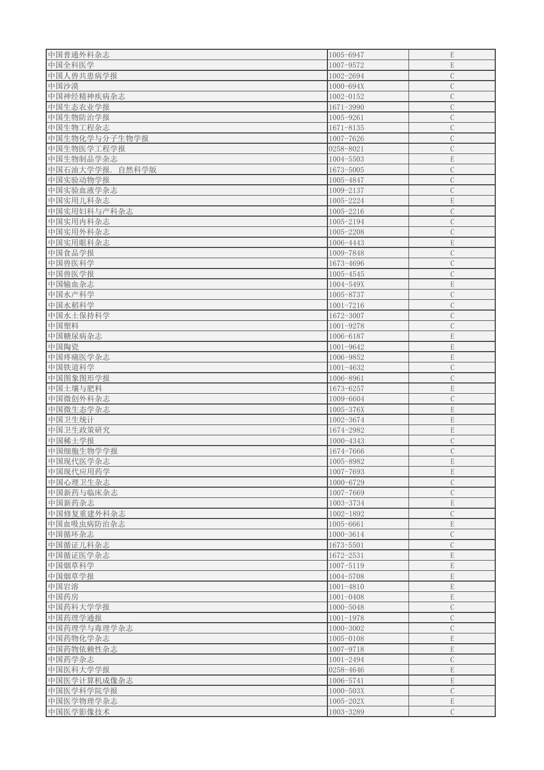| 中国普通外科杂志           | 1005-6947     | $\mathbf E$   |
|--------------------|---------------|---------------|
| 中国全科医学             | 1007-9572     | $\mathbf E$   |
| 中国人兽共患病学报          | 1002-2694     | $\mathbf C$   |
| 中国沙漠               | 1000-694X     | $\mathcal{C}$ |
| 中国神经精神疾病杂志         | 1002-0152     | $\mathcal{C}$ |
| 中国生态农业学报           | 1671-3990     | $\mathcal{C}$ |
|                    | 1005-9261     | $\mathcal{C}$ |
| 中国生物防治学报           |               |               |
| 中国生物工程杂志           | $1671 - 8135$ | $\mathcal{C}$ |
| 中国生物化学与分子生物学报      | 1007-7626     | $\mathcal{C}$ |
| 中国生物医学工程学报         | 0258-8021     | $\mathcal{C}$ |
| 中国生物制品学杂志          | 1004-5503     | $\mathbf E$   |
| 中国石油大学学报.<br>自然科学版 | 1673-5005     | $\mathbf C$   |
| 中国实验动物学报           | 1005-4847     | $\mathcal{C}$ |
| 中国实验血液学杂志          | 1009-2137     | $\mathcal{C}$ |
| 中国实用儿科杂志           | 1005-2224     | $\mathbf E$   |
| 中国实用妇科与产科杂志        | 1005-2216     | $\mathcal{C}$ |
| 中国实用内科杂志           | 1005-2194     | $\mathcal{C}$ |
| 中国实用外科杂志           | 1005-2208     | $\mathcal{C}$ |
| 中国实用眼科杂志           | 1006-4443     | $\mathbf E$   |
| 中国食品学报             | 1009-7848     | $\mathcal{C}$ |
| 中国兽医科学             | 1673-4696     | $\mathcal{C}$ |
| 中国兽医学报             | 1005-4545     | $\mathcal{C}$ |
| 中国输血杂志             | 1004-549X     | $\mathbf E$   |
| 中国水产科学             | 1005-8737     | $\mathcal{C}$ |
|                    | $1001 - 7216$ | $\mathcal{C}$ |
| 中国水稻科学             |               |               |
| 中国水土保持科学           | 1672-3007     | $\mathcal{C}$ |
| 中国塑料               | 1001-9278     | $\mathbf C$   |
| 中国糖尿病杂志            | 1006-6187     | $\mathbf E$   |
| 中国陶瓷               | 1001-9642     | $\mathbf E$   |
| 中国疼痛医学杂志           | 1006-9852     | $\mathbf E$   |
| 中国铁道科学             | $1001 - 4632$ | $\mathcal{C}$ |
| 中国图象图形学报           | 1006-8961     | $\mathbf C$   |
| 中国土壤与肥料            | 1673-6257     | ${\bf E}$     |
| 中国微创外科杂志           | 1009-6604     | $\mathcal{C}$ |
| 中国微生态学杂志           | $1005 - 376X$ | ${\bf E}$     |
| 中国卫生统计             | 1002-3674     | ${\bf E}$     |
| 中国卫生政策研究           | 1674-2982     | ${\bf E}$     |
| 中国稀土学报             | $1000 - 4343$ | $\mathbf C$   |
| 中国细胞生物学学报          | 1674-7666     | $\mathbf C$   |
| 中国现代医学杂志           | 1005-8982     | $\mathbf E$   |
| 中国现代应用药学           | 1007-7693     | $\mathbf E$   |
| 中国心理卫生杂志           | 1000-6729     | $\mathcal{C}$ |
| 中国新药与临床杂志          | 1007-7669     | $\mathcal{C}$ |
|                    |               |               |
| 中国新药杂志             | 1003-3734     | $\mathbf E$   |
| 中国修复重建外科杂志         | 1002-1892     | $\mathbf C$   |
| 中国血吸虫病防治杂志         | 1005-6661     | $\mathbf E$   |
| 中国循环杂志             | 1000-3614     | $\mathcal{C}$ |
| 中国循证儿科杂志           | 1673-5501     | $\mathcal{C}$ |
| 中国循证医学杂志           | 1672-2531     | $\mathbf E$   |
| 中国烟草科学             | 1007-5119     | $\mathbf E$   |
| 中国烟草学报             | 1004-5708     | ${\bf E}$     |
| 中国岩溶               | $1001 - 4810$ | $\mathbf E$   |
| 中国药房               | $1001 - 0408$ | ${\bf E}$     |
| 中国药科大学学报           | 1000-5048     | $\mathbf C$   |
| 中国药理学通报            | $1001 - 1978$ | $\mathcal{C}$ |
| 中国药理学与毒理学杂志        | $1000 - 3002$ | $\mathcal{C}$ |
| 中国药物化学杂志           | 1005-0108     | $\mathbf E$   |
| 中国药物依赖性杂志          | 1007-9718     | $\mathbf E$   |
| 中国药学杂志             | 1001-2494     | $\mathcal{C}$ |
| 中国医科大学学报           | 0258-4646     | $\mathbf E$   |
|                    |               |               |
| 中国医学计算机成像杂志        | 1006-5741     | $\mathbf E$   |
| 中国医学科学院学报          | $1000 - 503X$ | $\mathcal{C}$ |
| 中国医学物理学杂志          | $1005 - 202X$ | $\mathbf E$   |
| 中国医学影像技术           | 1003-3289     | $\mathcal{C}$ |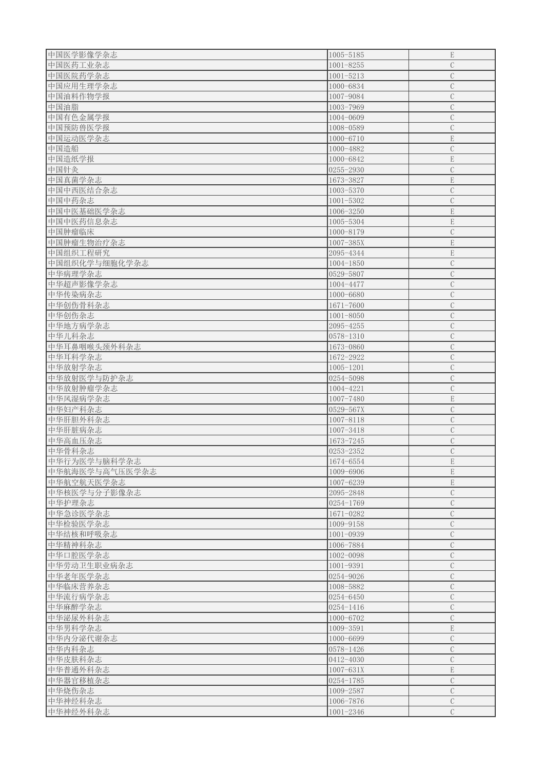| 中国医学影像学杂志      | 1005-5185       | ${\bf E}$      |
|----------------|-----------------|----------------|
| 中国医药工业杂志       | $1001 - 8255$   | $\mathcal{C}$  |
| 中国医院药学杂志       | $1001 - 5213$   | $\mathbf C$    |
| 中国应用生理学杂志      | 1000-6834       | $\mathcal{C}$  |
| 中国油料作物学报       | 1007-9084       | $\mathbf C$    |
| 中国油脂           | 1003-7969       | $\mathcal{C}$  |
| 中国有色金属学报       | 1004-0609       | $\mathcal{C}$  |
| 中国预防兽医学报       | 1008-0589       | $\mathcal{C}$  |
|                |                 |                |
| 中国运动医学杂志       | 1000-6710       | ${\bf E}$      |
| 中国造船           | 1000-4882       | $\mathcal{C}$  |
| 中国造纸学报         | 1000-6842       | ${\bf E}$      |
| 中国针灸           | 0255-2930       | $\mathcal{C}$  |
| 中国真菌学杂志        | 1673-3827       | ${\bf E}$      |
| 中国中西医结合杂志      | 1003-5370       | $\mathcal{C}$  |
| 中国中药杂志         | $1001 - 5302$   | $\overline{C}$ |
| 中国中医基础医学杂志     | 1006-3250       | $\mathbf E$    |
| 中国中医药信息杂志      |                 | $\mathbf E$    |
|                | 1005-5304       |                |
| 中国肿瘤临床         | 1000-8179       | $\mathcal{C}$  |
| 中国肿瘤生物治疗杂志     | $1007 - 385X$   | $\mathbf E$    |
| 中国组织工程研究       | 2095-4344       | $\mathbf E$    |
| 中国组织化学与细胞化学杂志  | 1004-1850       | $\mathcal{C}$  |
| 中华病理学杂志        | 0529-5807       | $\mathcal{C}$  |
| 中华超声影像学杂志      | 1004-4477       | $\mathcal{C}$  |
| 中华传染病杂志        | 1000-6680       | $\mathcal{C}$  |
|                |                 |                |
| 中华创伤骨科杂志       | 1671-7600       | $\mathcal{C}$  |
| 中华创伤杂志         | $1001 - 8050$   | $\mathcal{C}$  |
| 中华地方病学杂志       | 2095-4255       | $\mathbf C$    |
| 中华儿科杂志         | $ 0578 - 1310 $ | $\mathcal{C}$  |
| 中华耳鼻咽喉头颈外科杂志   | 1673-0860       | $\mathcal{C}$  |
| 中华耳科学杂志        | 1672-2922       | $\mathcal{C}$  |
| 中华放射学杂志        | $1005 - 1201$   | $\mathbf C$    |
| 中华放射医学与防护杂志    | 0254-5098       | $\mathcal{C}$  |
|                |                 |                |
| 中华放射肿瘤学杂志      | 1004-4221       | $\mathcal{C}$  |
| 中华风湿病学杂志       | 1007-7480       | $\mathbf E$    |
| 中华妇产科杂志        | 0529-567X       | $\mathcal{C}$  |
| 中华肝胆外科杂志       | 1007-8118       | $\mathcal{C}$  |
| 中华肝脏病杂志        | 1007-3418       | $\mathcal{C}$  |
| 中华高血压杂志        | 1673-7245       | $\mathcal{C}$  |
| 中华骨科杂志         | 0253-2352       | $\mathcal{C}$  |
|                |                 | $\mathbf E$    |
| 中华行为医学与脑科学杂志   | 1674-6554       |                |
| 中华航海医学与高气压医学杂志 | 1009-6906       | $\mathbf E$    |
| 中华航空航天医学杂志     | 1007-6239       | ${\bf E}$      |
| 中华核医学与分子影像杂志   | 2095-2848       | $\mathcal{C}$  |
| 中华护理杂志         | 0254-1769       | $\mathcal{C}$  |
| 中华急诊医学杂志       | 1671-0282       | $\mathbf C$    |
| 中华检验医学杂志       | 1009-9158       | $\mathcal{C}$  |
| 中华结核和呼吸杂志      | $1001 - 0939$   | $\mathcal{C}$  |
|                | 1006-7884       | $\mathcal{C}$  |
| 中华精神科杂志        |                 |                |
| 中华口腔医学杂志       | 1002-0098       | $\mathcal{C}$  |
| 中华劳动卫生职业病杂志    | 1001-9391       | $\mathcal{C}$  |
| 中华老年医学杂志       | 0254-9026       | $\mathcal{C}$  |
| 中华临床营养杂志       | 1008-5882       | $\mathcal{C}$  |
| 中华流行病学杂志       | 0254-6450       | $\mathcal{C}$  |
| 中华麻醉学杂志        | $ 0254 - 1416 $ | $\mathcal{C}$  |
| 中华泌尿外科杂志       | 1000-6702       | $\mathcal{C}$  |
| 中华男科学杂志        | 1009-3591       | $\mathbf E$    |
|                |                 |                |
| 中华内分泌代谢杂志      | 1000-6699       | $\mathcal{C}$  |
| 中华内科杂志         | 0578-1426       | $\mathcal{C}$  |
| 中华皮肤科杂志        | 0412-4030       | $\mathcal{C}$  |
| 中华普通外科杂志       | $1007 - 631X$   | $\mathbf E$    |
| 中华器官移植杂志       | 0254-1785       | $\mathcal{C}$  |
| 中华烧伤杂志         | 1009-2587       | $\mathcal{C}$  |
| 中华神经科杂志        | 1006-7876       | $\mathcal{C}$  |
|                |                 |                |
| 中华神经外科杂志       | $1001 - 2346$   | $\mathcal{C}$  |